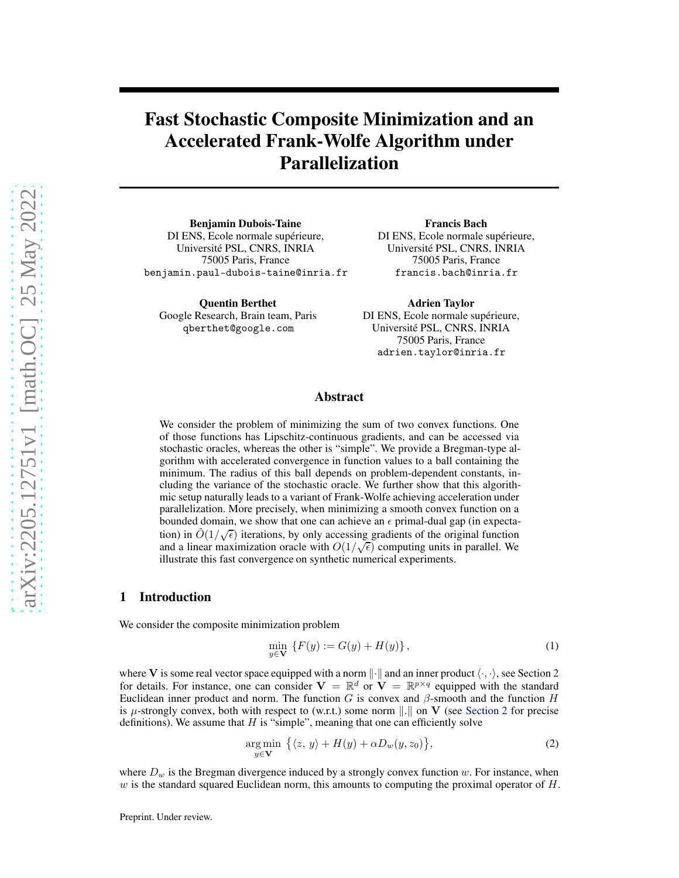# Fast Stochastic Composite Minimization and an Accelerated Frank-Wolfe Algorithm under Parallelization

Benjamin Dubois-Taine DI ENS, Ecole normale supérieure, Université PSL, CNRS, INRIA 75005 Paris, France benjamin.paul-dubois-taine@inria.fr

Quentin Berthet Google Research, Brain team, Paris qberthet@google.com

Francis Bach DI ENS, Ecole normale supérieure, Université PSL, CNRS, INRIA 75005 Paris, France francis.bach@inria.fr

Adrien Taylor DI ENS, Ecole normale supérieure, Université PSL, CNRS, INRIA 75005 Paris, France adrien.taylor@inria.fr

### Abstract

We consider the problem of minimizing the sum of two convex functions. One of those functions has Lipschitz-continuous gradients, and can be accessed via stochastic oracles, whereas the other is "simple". We provide a Bregman-type algorithm with accelerated convergence in function values to a ball containing the minimum. The radius of this ball depends on problem-dependent constants, including the variance of the stochastic oracle. We further show that this algorithmic setup naturally leads to a variant of Frank-Wolfe achieving acceleration under parallelization. More precisely, when minimizing a smooth convex function on a bounded domain, we show that one can achieve an  $\epsilon$  primal-dual gap (in expectation) in  $\tilde{O}(1/\sqrt{\epsilon})$  iterations, by only accessing gradients of the original function and a linear maximization oracle with  $O(1/\sqrt{\epsilon})$  computing units in parallel. We illustrate this fast convergence on synthetic numerical experiments.

#### 1 Introduction

We consider the composite minimization problem

<span id="page-0-1"></span><span id="page-0-0"></span>
$$
\min_{y \in \mathbf{V}} \{ F(y) := G(y) + H(y) \},\tag{1}
$$

where V is some real vector space equipped with a norm  $\|\cdot\|$  and an inner product  $\langle \cdot, \cdot \rangle$ , see Section [2](#page-2-0) for details. For instance, one can consider  $V = \mathbb{R}^d$  or  $V = \mathbb{R}^{p \times q}$  equipped with the standard Euclidean inner product and norm. The function G is convex and  $\beta$ -smooth and the function H is  $\mu$ -strongly convex, both with respect to (w.r.t.) some norm  $\|\cdot\|$  on V (see [Section 2](#page-2-0) for precise definitions). We assume that  $H$  is "simple", meaning that one can efficiently solve

$$
\underset{y \in \mathbf{V}}{\arg \min} \ \big\{ \langle z, y \rangle + H(y) + \alpha D_w(y, z_0) \big\},\tag{2}
$$

where  $D_w$  is the Bregman divergence induced by a strongly convex function w. For instance, when  $w$  is the standard squared Euclidean norm, this amounts to computing the proximal operator of  $H$ .

Preprint. Under review.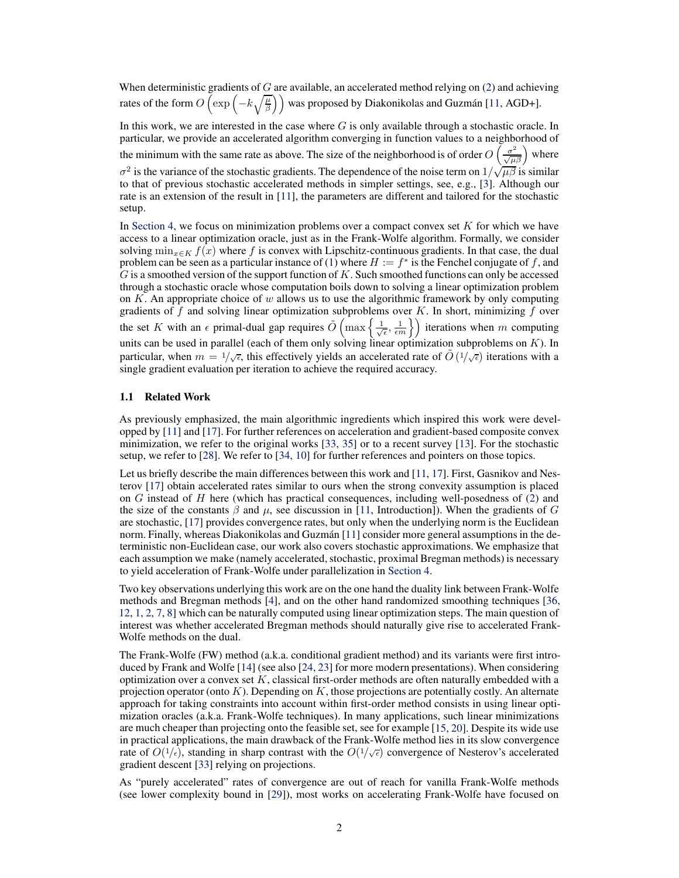When deterministic gradients of  $G$  are available, an accelerated method relying on  $(2)$  and achieving rates of the form  $O\left(\exp\left(-k\sqrt{\frac{\mu}{\beta}}\right)\right)$  was proposed by Diakonikolas and Guzmán [\[11,](#page-9-0) AGD+].

In this work, we are interested in the case where  $G$  is only available through a stochastic oracle. In particular, we provide an accelerated algorithm converging in function values to a neighborhood of the minimum with the same rate as above. The size of the neighborhood is of order  $O\left(\frac{\sigma^2}{\sqrt{\mu\beta}}\right)$  where  $\sigma^2$  is the variance of the stochastic gradients. The dependence of the noise term on  $1/\sqrt{\mu\beta}$  is similar to that of previous stochastic accelerated methods in simpler settings, see, e.g., [\[3\]](#page-9-1). Although our rate is an extension of the result in [\[11](#page-9-0)], the parameters are different and tailored for the stochastic setup.

In [Section 4,](#page-5-0) we focus on minimization problems over a compact convex set  $K$  for which we have access to a linear optimization oracle, just as in the Frank-Wolfe algorithm. Formally, we consider solving  $\min_{x \in K} f(x)$  where f is convex with Lipschitz-continuous gradients. In that case, the dual problem can be seen as a particular instance of [\(1\)](#page-0-1) where  $H := f^*$  is the Fenchel conjugate of f, and  $G$  is a smoothed version of the support function of  $K$ . Such smoothed functions can only be accessed through a stochastic oracle whose computation boils down to solving a linear optimization problem on  $K$ . An appropriate choice of w allows us to use the algorithmic framework by only computing gradients of  $f$  and solving linear optimization subproblems over  $K$ . In short, minimizing  $f$  over the set K with an  $\epsilon$  primal-dual gap requires  $\tilde{O}\left(\max\left\{\frac{1}{\sqrt{\epsilon}}, \frac{1}{\epsilon m}\right\}\right)$  iterations when m computing units can be used in parallel (each of them only solving linear optimization subproblems on  $K$ ). In particular, when  $m = 1/\sqrt{\epsilon}$ , this effectively yields an accelerated rate of  $\tilde{O}(1/\sqrt{\epsilon})$  iterations with a single gradient evaluation per iteration to achieve the required accuracy.

#### 1.1 Related Work

As previously emphasized, the main algorithmic ingredients which inspired this work were developped by [\[11](#page-9-0)] and [\[17\]](#page-10-0). For further references on acceleration and gradient-based composite convex minimization, we refer to the original works [\[33](#page-10-1), [35\]](#page-10-2) or to a recent survey [\[13](#page-9-2)]. For the stochastic setup, we refer to [\[28\]](#page-10-3). We refer to [\[34,](#page-10-4) [10\]](#page-9-3) for further references and pointers on those topics.

Let us briefly describe the main differences between this work and [\[11,](#page-9-0) [17](#page-10-0)]. First, Gasnikov and Nesterov [\[17\]](#page-10-0) obtain accelerated rates similar to ours when the strong convexity assumption is placed on  $G$  instead of  $H$  here (which has practical consequences, including well-posedness of  $(2)$  and the size of the constants  $\beta$  and  $\mu$ , see discussion in [\[11,](#page-9-0) Introduction]). When the gradients of G are stochastic, [\[17](#page-10-0)] provides convergence rates, but only when the underlying norm is the Euclidean norm. Finally, whereas Diakonikolas and Guzmán [\[11\]](#page-9-0) consider more general assumptions in the deterministic non-Euclidean case, our work also covers stochastic approximations. We emphasize that each assumption we make (namely accelerated, stochastic, proximal Bregman methods) is necessary to yield acceleration of Frank-Wolfe under parallelization in [Section 4.](#page-5-0)

Two key observations underlying this work are on the one hand the duality link between Frank-Wolfe methods and Bregman methods [\[4](#page-9-4)], and on the other hand randomized smoothing techniques [\[36,](#page-10-5) [12](#page-9-5), [1,](#page-9-6) [2,](#page-9-7) [7](#page-9-8), [8\]](#page-9-9) which can be naturally computed using linear optimization steps. The main question of interest was whether accelerated Bregman methods should naturally give rise to accelerated Frank-Wolfe methods on the dual.

The Frank-Wolfe (FW) method (a.k.a. conditional gradient method) and its variants were first introduced by Frank and Wolfe [\[14](#page-9-10)] (see also [\[24](#page-10-6), [23\]](#page-10-7) for more modern presentations). When considering optimization over a convex set  $K$ , classical first-order methods are often naturally embedded with a projection operator (onto  $K$ ). Depending on K, those projections are potentially costly. An alternate approach for taking constraints into account within first-order method consists in using linear optimization oracles (a.k.a. Frank-Wolfe techniques). In many applications, such linear minimizations are much cheaper than projecting onto the feasible set, see for example [\[15,](#page-9-11) [20](#page-10-8)]. Despite its wide use in practical applications, the main drawback of the Frank-Wolfe method lies in its slow convergence rate of  $O(1/\epsilon)$ , standing in sharp contrast with the  $O(1/\sqrt{\epsilon})$  convergence of Nesterov's accelerated gradient descent [\[33\]](#page-10-1) relying on projections.

As "purely accelerated" rates of convergence are out of reach for vanilla Frank-Wolfe methods (see lower complexity bound in [\[29\]](#page-10-9)), most works on accelerating Frank-Wolfe have focused on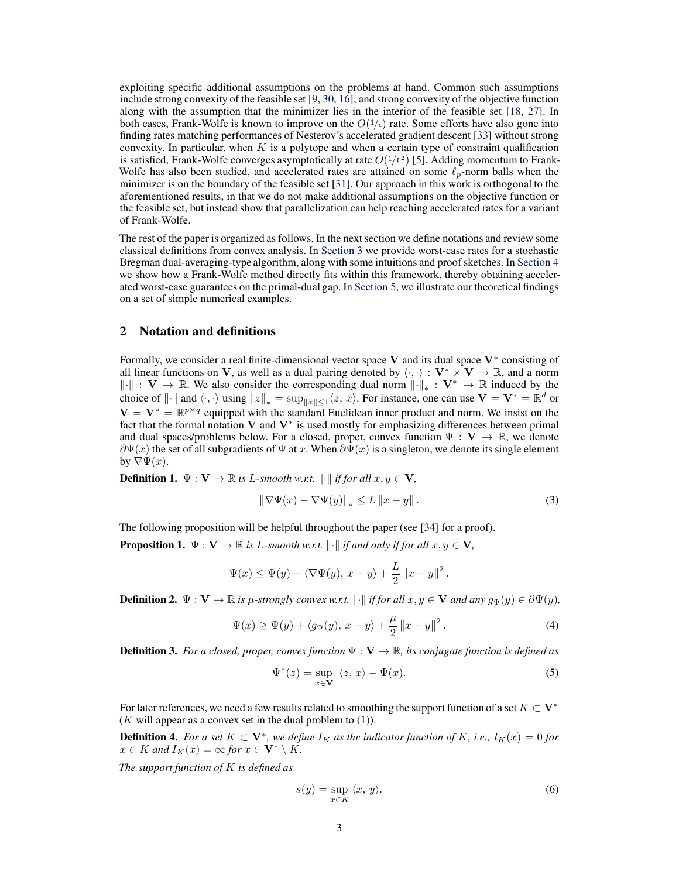exploiting specific additional assumptions on the problems at hand. Common such assumptions include strong convexity of the feasible set [\[9,](#page-9-12) [30](#page-10-10), [16\]](#page-9-13), and strong convexity of the objective function along with the assumption that the minimizer lies in the interior of the feasible set [\[18,](#page-10-11) [27](#page-10-12)]. In both cases, Frank-Wolfe is known to improve on the  $O(1/\epsilon)$  rate. Some efforts have also gone into finding rates matching performances of Nesterov's accelerated gradient descent [\[33\]](#page-10-1) without strong convexity. In particular, when  $K$  is a polytope and when a certain type of constraint qualification is satisfied, Frank-Wolfe converges asymptotically at rate  $O(1/\kappa^2)$  [\[5](#page-9-14)]. Adding momentum to Frank-Wolfe has also been studied, and accelerated rates are attained on some  $\ell_n$ -norm balls when the minimizer is on the boundary of the feasible set [\[31\]](#page-10-13). Our approach in this work is orthogonal to the aforementioned results, in that we do not make additional assumptions on the objective function or the feasible set, but instead show that parallelization can help reaching accelerated rates for a variant of Frank-Wolfe.

The rest of the paper is organized as follows. In the next section we define notations and review some classical definitions from convex analysis. In [Section 3](#page-3-0) we provide worst-case rates for a stochastic Bregman dual-averaging-type algorithm, along with some intuitions and proof sketches. In [Section 4](#page-5-0) we show how a Frank-Wolfe method directly fits within this framework, thereby obtaining accelerated worst-case guarantees on the primal-dual gap. In [Section 5,](#page-7-0) we illustrate our theoretical findings on a set of simple numerical examples.

# <span id="page-2-0"></span>2 Notation and definitions

Formally, we consider a real finite-dimensional vector space V and its dual space  $V^*$  consisting of all linear functions on V, as well as a dual pairing denoted by  $\langle \cdot, \cdot \rangle : V^* \times V \to \mathbb{R}$ , and a norm  $\|\cdot\|$  :  $V \to \mathbb{R}$ . We also consider the corresponding dual norm  $\|\cdot\|_* : V^* \to \mathbb{R}$  induced by the choice of  $\|\cdot\|$  and  $\langle \cdot, \cdot \rangle$  using  $\|z\|_* = \sup_{\|x\| \le 1} \langle z, x \rangle$ . For instance, one can use  $\mathbf{V} = \mathbf{V}^* = \mathbb{R}^d$  or  $V = V^* = \mathbb{R}^{p \times q}$  equipped with the standard Euclidean inner product and norm. We insist on the fact that the formal notation  $V$  and  $V^*$  is used mostly for emphasizing differences between primal and dual spaces/problems below. For a closed, proper, convex function  $\Psi : \mathbf{V} \to \mathbb{R}$ , we denote  $\partial \Psi(x)$  the set of all subgradients of  $\Psi$  at x. When  $\partial \Psi(x)$  is a singleton, we denote its single element by  $\nabla \Psi(x)$ .

**Definition 1.**  $\Psi: V \to \mathbb{R}$  is L-smooth w.r.t.  $\|\cdot\|$  if for all  $x, y \in V$ ,

$$
\|\nabla\Psi(x) - \nabla\Psi(y)\|_{*} \le L\left\|x - y\right\|.
$$
\n(3)

The following proposition will be helpful throughout the paper (see [\[34\]](#page-10-4) for a proof).

**Proposition 1.**  $\Psi: V \to \mathbb{R}$  is L-smooth w.r.t.  $\|\cdot\|$  if and only if for all  $x, y \in V$ ,

$$
\Psi(x) \le \Psi(y) + \langle \nabla \Psi(y), x - y \rangle + \frac{L}{2} ||x - y||^2.
$$

**Definition 2.**  $\Psi : \mathbf{V} \to \mathbb{R}$  *is µ-strongly convex w.r.t.*  $\|\cdot\|$  *if for all*  $x, y \in \mathbf{V}$  *and any*  $g_{\Psi}(y) \in \partial \Psi(y)$ ,

$$
\Psi(x) \ge \Psi(y) + \langle g_{\Psi}(y), x - y \rangle + \frac{\mu}{2} ||x - y||^2.
$$
\n(4)

**Definition 3.** *For a closed, proper, convex function*  $\Psi : \mathbf{V} \to \mathbb{R}$ *, its conjugate function is defined as* 

$$
\Psi^*(z) = \sup_{x \in \mathbf{V}} \langle z, x \rangle - \Psi(x). \tag{5}
$$

For later references, we need a few results related to smoothing the support function of a set  $K \subset V^*$  $(K$  will appear as a convex set in the dual problem to  $(1)$ ).

**Definition 4.** For a set  $K \subset \mathbf{V}^*$ , we define  $I_K$  as the indicator function of K, i.e.,  $I_K(x) = 0$  for  $x \in K$  *and*  $I_K(x) = \infty$  *for*  $x \in V^* \setminus K$ *.* 

*The support function of* K *is defined as*

$$
s(y) = \sup_{x \in K} \langle x, y \rangle.
$$
 (6)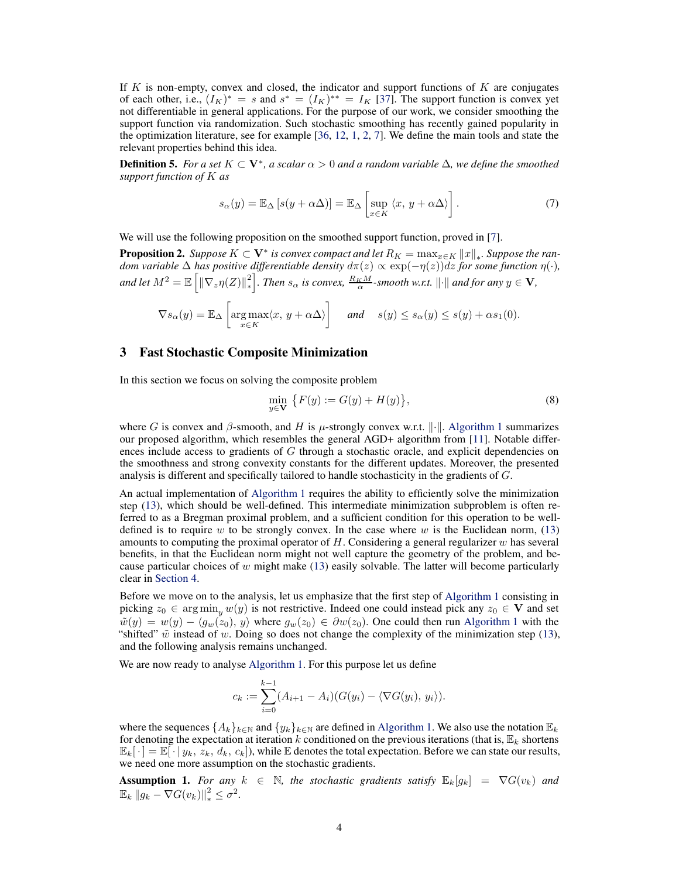If  $K$  is non-empty, convex and closed, the indicator and support functions of  $K$  are conjugates of each other, i.e.,  $(I_K)^* = s$  and  $s^* = (I_K)^{**} = I_K$  [\[37](#page-11-0)]. The support function is convex yet not differentiable in general applications. For the purpose of our work, we consider smoothing the support function via randomization. Such stochastic smoothing has recently gained popularity in the optimization literature, see for example [\[36,](#page-10-5) [12,](#page-9-5) [1](#page-9-6), [2](#page-9-7), [7\]](#page-9-8). We define the main tools and state the relevant properties behind this idea.

<span id="page-3-2"></span>**Definition 5.** *For a set*  $K ⊂ V^*$ *, a scalar*  $\alpha > 0$  *and a random variable*  $\Delta$ *, we define the smoothed support function of* K *as*

$$
s_{\alpha}(y) = \mathbb{E}_{\Delta} \left[ s(y + \alpha \Delta) \right] = \mathbb{E}_{\Delta} \left[ \sup_{x \in K} \langle x, y + \alpha \Delta \rangle \right]. \tag{7}
$$

<span id="page-3-3"></span>We will use the following proposition on the smoothed support function, proved in [\[7\]](#page-9-8).

**Proposition 2.** *Suppose*  $K \subset \mathbf{V}^*$  *is convex compact and let*  $R_K = \max_{x \in K} ||x||_*$ *. Suppose the random variable*  $\Delta$  *has positive differentiable density*  $d\pi(z) \propto \exp(-\eta(z))dz$  *for some function*  $\eta(\cdot)$ *,* and let  $M^2=\mathbb{E}\left[\left\|\nabla_z\eta(Z)\right\|_*^2\right]$ ∗ *chara l a is convex,*  $\frac{R_K M}{\alpha}$ -smooth w.r.t.  $\|\cdot\|$  *and for any*  $y \in V$ ,

$$
\nabla s_{\alpha}(y) = \mathbb{E}_{\Delta} \left[ \underset{x \in K}{\arg \max} \langle x, y + \alpha \Delta \rangle \right] \quad \text{and} \quad s(y) \le s_{\alpha}(y) \le s(y) + \alpha s_1(0).
$$

#### <span id="page-3-0"></span>3 Fast Stochastic Composite Minimization

In this section we focus on solving the composite problem

<span id="page-3-4"></span>
$$
\min_{y \in \mathbf{V}} \{ F(y) := G(y) + H(y) \},\tag{8}
$$

where G is convex and  $\beta$ -smooth, and H is  $\mu$ -strongly convex w.r.t. ||.||. [Algorithm 1](#page-4-0) summarizes our proposed algorithm, which resembles the general AGD+ algorithm from [\[11\]](#page-9-0). Notable differences include access to gradients of  $G$  through a stochastic oracle, and explicit dependencies on the smoothness and strong convexity constants for the different updates. Moreover, the presented analysis is different and specifically tailored to handle stochasticity in the gradients of G.

An actual implementation of [Algorithm 1](#page-4-0) requires the ability to efficiently solve the minimization step [\(13\)](#page-4-1), which should be well-defined. This intermediate minimization subproblem is often referred to as a Bregman proximal problem, and a sufficient condition for this operation to be welldefined is to require w to be strongly convex. In the case where w is the Euclidean norm,  $(13)$ amounts to computing the proximal operator of  $H$ . Considering a general regularizer  $w$  has several benefits, in that the Euclidean norm might not well capture the geometry of the problem, and because particular choices of  $w$  might make [\(13\)](#page-4-1) easily solvable. The latter will become particularly clear in [Section 4.](#page-5-0)

Before we move on to the analysis, let us emphasize that the first step of [Algorithm 1](#page-4-0) consisting in picking  $z_0 \in \argmin_y w(y)$  is not restrictive. Indeed one could instead pick any  $z_0 \in V$  and set  $\tilde{w}(y) = w(y) - \langle g_w(z_0), y \rangle$  where  $g_w(z_0) \in \partial w(z_0)$ . One could then run [Algorithm 1](#page-4-0) with the "shifted"  $\tilde{w}$  instead of w. Doing so does not change the complexity of the minimization step [\(13\)](#page-4-1), and the following analysis remains unchanged.

We are now ready to analyse [Algorithm 1.](#page-4-0) For this purpose let us define

$$
c_k := \sum_{i=0}^{k-1} (A_{i+1} - A_i)(G(y_i) - \langle \nabla G(y_i), y_i \rangle).
$$

where the sequences  $\{A_k\}_{k\in\mathbb{N}}$  and  $\{y_k\}_{k\in\mathbb{N}}$  are defined in [Algorithm 1.](#page-4-0) We also use the notation  $\mathbb{E}_k$ for denoting the expectation at iteration k conditioned on the previous iterations (that is,  $\mathbb{E}_k$  shortens  $\mathbb{E}_k[\cdot] = \mathbb{E}[\cdot | y_k, z_k, d_k, c_k]$ , while  $\mathbb E$  denotes the total expectation. Before we can state our results, we need one more assumption on the stochastic gradients.

<span id="page-3-1"></span>**Assumption 1.** For any  $k \in \mathbb{N}$ , the stochastic gradients satisfy  $\mathbb{E}_k[g_k] = \nabla G(v_k)$  and  $\mathbb{E}_k ||g_k - \nabla G(v_k)||_*^2 \leq \sigma^2.$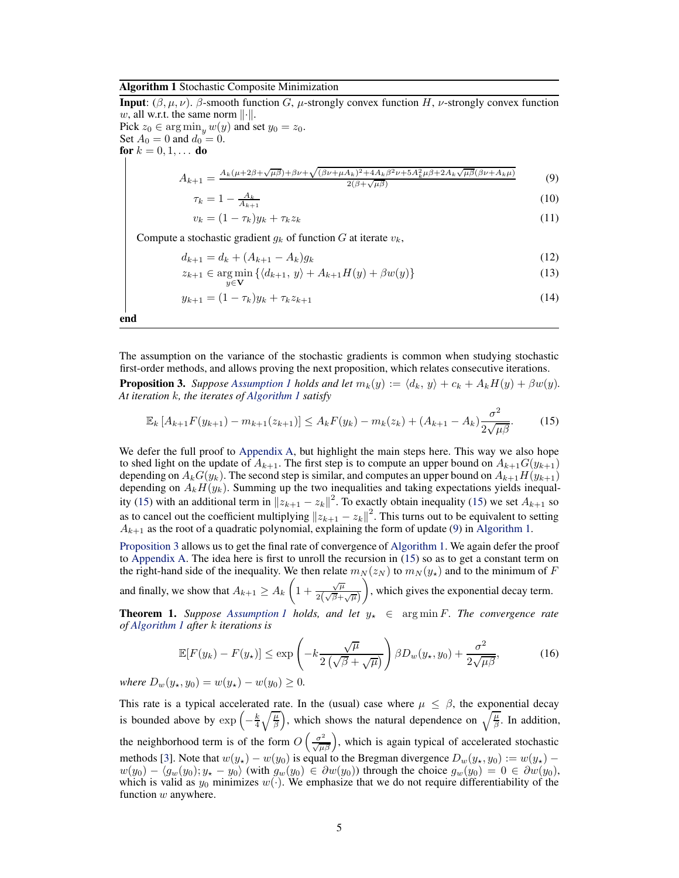#### <span id="page-4-0"></span>Algorithm 1 Stochastic Composite Minimization

**Input:** ( $\beta, \mu, \nu$ ).  $\beta$ -smooth function G,  $\mu$ -strongly convex function H,  $\nu$ -strongly convex function w, all w.r.t. the same norm  $\|\cdot\|$ . Pick  $z_0 \in \argmin_y w(y)$  and set  $y_0 = z_0$ . Set  $A_0 = 0$  and  $d_0 = 0$ . for  $k = 0, 1, ...$  do  $A_{k+1} = \frac{A_k(\mu+2\beta+\sqrt{\mu\beta})+\beta\nu+\sqrt{(\beta\nu+\mu A_k)^2+4A_k\beta^2\nu+5A_k^2\mu\beta+2A_k\sqrt{\mu\beta}(\beta\nu+A_k\mu)}}{2(\beta+\sqrt{\mu\beta})}$  $2(\beta+\sqrt{\mu\beta})$ (9)  $\tau_k = 1 - \frac{A_k}{A_{k+1}}$ (10)

<span id="page-4-3"></span><span id="page-4-1"></span>
$$
v_k = (1 - \tau_k) y_k + \tau_k z_k \tag{11}
$$

Compute a stochastic gradient  $g_k$  of function G at iterate  $v_k$ ,

$$
d_{k+1} = d_k + (A_{k+1} - A_k)g_k
$$
\n(12)

$$
z_{k+1} \in \underset{y \in \mathbf{V}}{\arg \min} \left\{ \langle d_{k+1}, y \rangle + A_{k+1} H(y) + \beta w(y) \right\} \tag{13}
$$

<span id="page-4-2"></span>
$$
y_{k+1} = (1 - \tau_k)y_k + \tau_k z_{k+1} \tag{14}
$$

end

<span id="page-4-4"></span>The assumption on the variance of the stochastic gradients is common when studying stochastic first-order methods, and allows proving the next proposition, which relates consecutive iterations.

**Proposition 3.** *Suppose [Assumption 1](#page-3-1) holds and let*  $m_k(y) := \langle d_k, y \rangle + c_k + A_k H(y) + \beta w(y)$ *. At iteration* k*, the iterates of [Algorithm 1](#page-4-0) satisfy*

$$
\mathbb{E}_k \left[ A_{k+1} F(y_{k+1}) - m_{k+1}(z_{k+1}) \right] \le A_k F(y_k) - m_k(z_k) + (A_{k+1} - A_k) \frac{\sigma^2}{2\sqrt{\mu \beta}}.
$$
 (15)

We defer the full proof to [Appendix A,](#page-12-0) but highlight the main steps here. This way we also hope to shed light on the update of  $A_{k+1}$ . The first step is to compute an upper bound on  $A_{k+1}G(y_{k+1})$ depending on  $A_kG(y_k)$ . The second step is similar, and computes an upper bound on  $A_{k+1}H(y_{k+1})$ depending on  $A_kH(y_k)$ . Summing up the two inequalities and taking expectations yields inequal-ity [\(15\)](#page-4-2) with an additional term in  $||z_{k+1} - z_k||^2$ . To exactly obtain inequality [\(15\)](#page-4-2) we set  $A_{k+1}$  so as to cancel out the coefficient multiplying  $||z_{k+1} - z_k||^2$ . This turns out to be equivalent to setting  $A_{k+1}$  as the root of a quadratic polynomial, explaining the form of update [\(9\)](#page-4-3) in [Algorithm 1.](#page-4-0)

[Proposition 3](#page-4-4) allows us to get the final rate of convergence of [Algorithm 1.](#page-4-0) We again defer the proof to [Appendix A.](#page-12-0) The idea here is first to unroll the recursion in [\(15\)](#page-4-2) so as to get a constant term on the right-hand side of the inequality. We then relate  $m_N(z_N)$  to  $m_N(y_\star)$  and to the minimum of F

and finally, we show that  $A_{k+1} \geq A_k \left(1 + \frac{\sqrt{\mu}}{2(\sqrt{\beta} + \mu)}\right)$  $2(\sqrt{\beta}+\sqrt{\mu})$ , which gives the exponential decay term.

<span id="page-4-5"></span>**Theorem 1.** *Suppose [Assumption 1](#page-3-1) holds, and let*  $y_{\star} \in \arg \min F$ *. The convergence rate of [Algorithm 1](#page-4-0) after* k *iterations is*

$$
\mathbb{E}[F(y_k) - F(y_\star)] \le \exp\left(-k\frac{\sqrt{\mu}}{2\left(\sqrt{\beta} + \sqrt{\mu}\right)}\right)\beta D_w(y_\star, y_0) + \frac{\sigma^2}{2\sqrt{\mu\beta}},\tag{16}
$$

*where*  $D_w(y_*, y_0) = w(y_*) - w(y_0) \geq 0$ .

This rate is a typical accelerated rate. In the (usual) case where  $\mu \leq \beta$ , the exponential decay is bounded above by  $\exp\left(-\frac{k}{4}\sqrt{\frac{\mu}{\beta}}\right)$ , which shows the natural dependence on  $\sqrt{\frac{\mu}{\beta}}$ . In addition, the neighborhood term is of the form  $O\left(\frac{\sigma^2}{\sqrt{\mu\beta}}\right)$ , which is again typical of accelerated stochastic methods [\[3\]](#page-9-1). Note that  $w(y_*) - w(y_0)$  is equal to the Bregman divergence  $D_w(y_*, y_0) := w(y_*) - w(y_0)$  $w(y_0) - \langle g_w(y_0); y_{\star} - y_0 \rangle$  (with  $g_w(y_0) \in \partial w(y_0)$ ) through the choice  $g_w(y_0) = 0 \in \partial w(y_0)$ , which is valid as  $y_0$  minimizes  $w(.)$ . We emphasize that we do not require differentiability of the function w anywhere.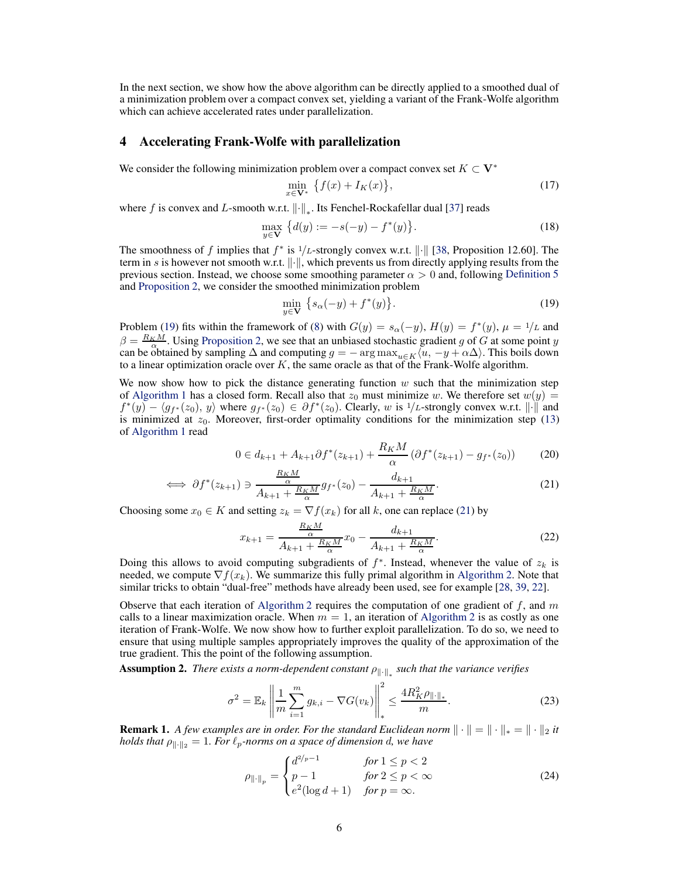<span id="page-5-0"></span>In the next section, we show how the above algorithm can be directly applied to a smoothed dual of a minimization problem over a compact convex set, yielding a variant of the Frank-Wolfe algorithm which can achieve accelerated rates under parallelization.

## 4 Accelerating Frank-Wolfe with parallelization

We consider the following minimization problem over a compact convex set  $K \subset V^*$ 

$$
\min_{x \in \mathbf{V}^*} \left\{ f(x) + I_K(x) \right\},\tag{17}
$$

where f is convex and L-smooth w.r.t.  $\left\|\cdot\right\|_{*}$ . Its Fenchel-Rockafellar dual [\[37\]](#page-11-0) reads

$$
\max_{y \in \mathbf{V}} \{ d(y) := -s(-y) - f^*(y) \}.
$$
 (18)

The smoothness of f implies that  $f^*$  is  $\frac{1}{L}$ -strongly convex w.r.t.  $\|\cdot\|$  [\[38](#page-11-1), Proposition 12.60]. The term in s is however not smooth w.r.t.  $\|\cdot\|$ , which prevents us from directly applying results from the previous section. Instead, we choose some smoothing parameter  $\alpha > 0$  and, following [Definition 5](#page-3-2) and [Proposition 2,](#page-3-3) we consider the smoothed minimization problem

<span id="page-5-1"></span>
$$
\min_{y \in \mathbf{V}} \left\{ s_\alpha(-y) + f^*(y) \right\}.
$$
\n(19)

Problem [\(19\)](#page-5-1) fits within the framework of [\(8\)](#page-3-4) with  $G(y) = s_\alpha(-y)$ ,  $H(y) = f^*(y)$ ,  $\mu = 1/L$  and  $\beta = \frac{R_K M}{\alpha}$ . Using [Proposition 2,](#page-3-3) we see that an unbiased stochastic gradient g of G at some point y can be obtained by sampling  $\Delta$  and computing  $g = -\arg \max_{u \in K} \langle u, -y + \alpha \Delta \rangle$ . This boils down to a linear optimization oracle over  $K$ , the same oracle as that of the Frank-Wolfe algorithm.

We now show how to pick the distance generating function  $w$  such that the minimization step of [Algorithm 1](#page-4-0) has a closed form. Recall also that  $z_0$  must minimize w. We therefore set  $w(y) =$  $f^*(y) - \langle g_{f^*}(z_0), y \rangle$  where  $g_{f^*}(z_0) \in \partial f^*(z_0)$ . Clearly, w is 1/L-strongly convex w.r.t.  $\| \cdot \|$  and is minimized at  $z_0$ . Moreover, first-order optimality conditions for the minimization step [\(13\)](#page-4-1) of [Algorithm 1](#page-4-0) read

$$
0 \in d_{k+1} + A_{k+1} \partial f^*(z_{k+1}) + \frac{R_K M}{\alpha} \left( \partial f^*(z_{k+1}) - g_{f^*}(z_0) \right) \tag{20}
$$

$$
\iff \partial f^*(z_{k+1}) \ni \frac{\frac{K_K M}{\alpha}}{A_{k+1} + \frac{R_K M}{\alpha}} g_{f^*}(z_0) - \frac{d_{k+1}}{A_{k+1} + \frac{R_K M}{\alpha}}.\tag{21}
$$

Choosing some  $x_0 \in K$  and setting  $z_k = \nabla f(x_k)$  for all k, one can replace [\(21\)](#page-5-2) by

<span id="page-5-2"></span>
$$
x_{k+1} = \frac{\frac{R_K M}{\alpha}}{A_{k+1} + \frac{R_K M}{\alpha}} x_0 - \frac{d_{k+1}}{A_{k+1} + \frac{R_K M}{\alpha}}.
$$
 (22)

Doing this allows to avoid computing subgradients of  $f^*$ . Instead, whenever the value of  $z_k$  is needed, we compute  $\nabla f(x_k)$ . We summarize this fully primal algorithm in [Algorithm 2.](#page-6-0) Note that similar tricks to obtain "dual-free" methods have already been used, see for example [\[28,](#page-10-3) [39,](#page-11-2) [22\]](#page-10-14).

Observe that each iteration of [Algorithm 2](#page-6-0) requires the computation of one gradient of f, and  $m$ calls to a linear maximization oracle. When  $m = 1$ , an iteration of [Algorithm 2](#page-6-0) is as costly as one iteration of Frank-Wolfe. We now show how to further exploit parallelization. To do so, we need to ensure that using multiple samples appropriately improves the quality of the approximation of the true gradient. This the point of the following assumption.

<span id="page-5-3"></span>**Assumption 2.** *There exists a norm-dependent constant*  $\rho_{\|\cdot\|_*}$  such that the variance verifies

$$
\sigma^{2} = \mathbb{E}_{k} \left\| \frac{1}{m} \sum_{i=1}^{m} g_{k,i} - \nabla G(v_{k}) \right\|_{*}^{2} \le \frac{4R_{K}^{2} \rho_{\|\cdot\|_{*}}}{m}.
$$
 (23)

**Remark 1.** *A few examples are in order. For the standard Euclidean norm*  $\|\cdot\| = \|\cdot\|_* = \|\cdot\|_2$  *it holds that*  $\rho_{\|\cdot\|_2} = 1$ *. For*  $\ell_p$ *-norms on a space of dimension d, we have* 

$$
\rho_{\|\cdot\|_p} = \begin{cases} d^{2/p-1} & \text{for } 1 \le p < 2 \\ p-1 & \text{for } 2 \le p < \infty \\ e^2(\log d + 1) & \text{for } p = \infty. \end{cases} \tag{24}
$$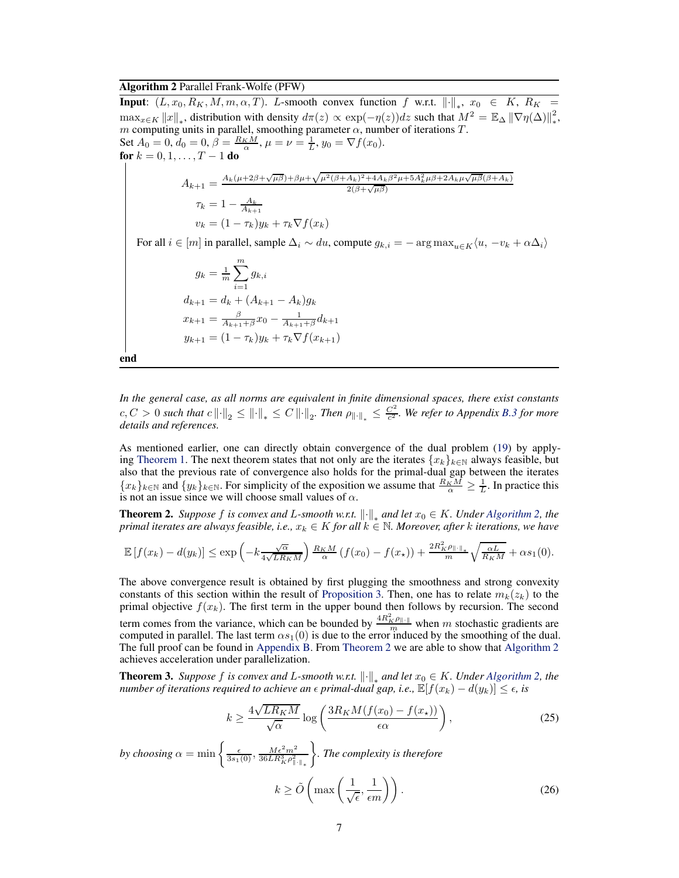### <span id="page-6-0"></span>Algorithm 2 Parallel Frank-Wolfe (PFW)

**Input:**  $(L, x_0, R_K, M, m, \alpha, T)$ . L-smooth convex function f w.r.t.  $\|\cdot\|_*$ ,  $x_0 \in K$ ,  $R_K =$  $\max_{x \in K} ||x||_*$ , distribution with density  $d\pi(z) \propto \exp(-\eta(z))dz$  such that  $M^2 = \mathbb{E}\Delta ||\nabla \eta(\Delta)||_*^2$ ∗ , m computing units in parallel, smoothing parameter  $\alpha$ , number of iterations T. Set  $A_0 = 0$ ,  $d_0 = 0$ ,  $\beta = \frac{R_K M}{\alpha}$ ,  $\mu = \nu = \frac{1}{L}$ ,  $y_0 = \nabla f(x_0)$ . for  $k = 0, 1, ..., T - 1$  do

$$
A_{k+1} = \frac{A_k(\mu + 2\beta + \sqrt{\mu \beta}) + \beta \mu + \sqrt{\mu^2(\beta + A_k)^2 + 4A_k \beta^2 \mu + 5A_k^2 \mu \beta + 2A_k \mu \sqrt{\mu \beta}(\beta + A_k)}}{2(\beta + \sqrt{\mu \beta})}
$$
  
\n
$$
\tau_k = 1 - \frac{A_k}{A_{k+1}}
$$
  
\n
$$
v_k = (1 - \tau_k) y_k + \tau_k \nabla f(x_k)
$$

For all  $i \in [m]$  in parallel, sample  $\Delta_i \sim du$ , compute  $g_{k,i} = -\arg \max_{u \in K} \langle u, -v_k + \alpha \Delta_i \rangle$ 

$$
g_k = \frac{1}{m} \sum_{i=1}^{m} g_{k,i}
$$
  
\n
$$
d_{k+1} = d_k + (A_{k+1} - A_k)g_k
$$
  
\n
$$
x_{k+1} = \frac{\beta}{A_{k+1} + \beta} x_0 - \frac{1}{A_{k+1} + \beta} d_{k+1}
$$
  
\n
$$
y_{k+1} = (1 - \tau_k) y_k + \tau_k \nabla f(x_{k+1})
$$

end

*In the general case, as all norms are equivalent in finite dimensional spaces, there exist constants*  $c, C > 0$  such that  $c \left\| \cdot \right\|_2 \leq \left\| \cdot \right\|_* \leq C \left\| \cdot \right\|_2$ . Then  $\rho_{\left\| \cdot \right\|_*} \leq \frac{C^2}{c^2}$ c <sup>2</sup> *. We refer to Appendix [B.3](#page-19-0) for more details and references.*

As mentioned earlier, one can directly obtain convergence of the dual problem [\(19\)](#page-5-1) by apply-ing [Theorem 1.](#page-4-5) The next theorem states that not only are the iterates  $\{x_k\}_{k\in\mathbb{N}}$  always feasible, but also that the previous rate of convergence also holds for the primal-dual gap between the iterates  ${x_k}_{k \in \mathbb{N}}$  and  ${y_k}_{k \in \mathbb{N}}$ . For simplicity of the exposition we assume that  $\frac{R_K M}{\alpha} \geq \frac{1}{L}$ . In practice this is not an issue since we will choose small values of  $\alpha$ .

<span id="page-6-1"></span>**Theorem 2.** *Suppose* f *is convex and* L-smooth w.r.t.  $\|\cdot\|_*$  and let  $x_0 \in K$ . Under [Algorithm 2,](#page-6-0) the *primal iterates are always feasible, i.e.,*  $x_k \in K$  *for all*  $k \in \mathbb{N}$ *. Moreover, after* k *iterations, we have* 

$$
\mathbb{E}\left[f(x_k)-d(y_k)\right] \leq \exp\left(-k\frac{\sqrt{\alpha}}{4\sqrt{LR_KM}}\right)\frac{R_KM}{\alpha}\left(f(x_0)-f(x_\star)\right)+\frac{2R_K^2\rho_{\|\cdot\|_\ast}}{m}\sqrt{\frac{\alpha L}{R_KM}}+\alpha s_1(0).
$$

The above convergence result is obtained by first plugging the smoothness and strong convexity constants of this section within the result of [Proposition 3.](#page-4-4) Then, one has to relate  $m_k(z_k)$  to the primal objective  $f(x_k)$ . The first term in the upper bound then follows by recursion. The second term comes from the variance, which can be bounded by  $\frac{4R_K^2 \rho_{\parallel \cdot \parallel}}{m}$  when m stochastic gradients are computed in parallel. The last term  $\alpha s_1(0)$  is due to the error induced by the smoothing of the dual. The full proof can be found in [Appendix B.](#page-16-0) From [Theorem 2](#page-6-1) we are able to show that [Algorithm 2](#page-6-0) achieves acceleration under parallelization.

<span id="page-6-4"></span>**Theorem 3.** *Suppose* f *is convex and* L-smooth w.r.t.  $\|\cdot\|_*$  and let  $x_0 \in K$ . Under [Algorithm 2,](#page-6-0) the *number of iterations required to achieve an*  $\epsilon$  *primal-dual gap, i.e.,*  $\mathbb{E}[f(x_k) - d(y_k)] \leq \epsilon$ *, is* 

<span id="page-6-3"></span><span id="page-6-2"></span>
$$
k \ge \frac{4\sqrt{LR_KM}}{\sqrt{\alpha}} \log \left( \frac{3R_KM(f(x_0) - f(x_\star))}{\epsilon \alpha} \right),\tag{25}
$$

by choosing  $\alpha = \min\left\{\frac{\epsilon}{3s_1(0)}, \frac{M\epsilon^2 m^2}{36LR_K^2 \rho_{\parallel \cdot \parallel_*}^2}\right\}$  *. The complexity is therefore*  $k \geq \tilde{O} \left( \max \left( \frac{1}{\sqrt{2}} \right) \right)$  $\left(\frac{1}{\sqrt{\epsilon}}, \frac{1}{\epsilon m}\right)\right).$  (26)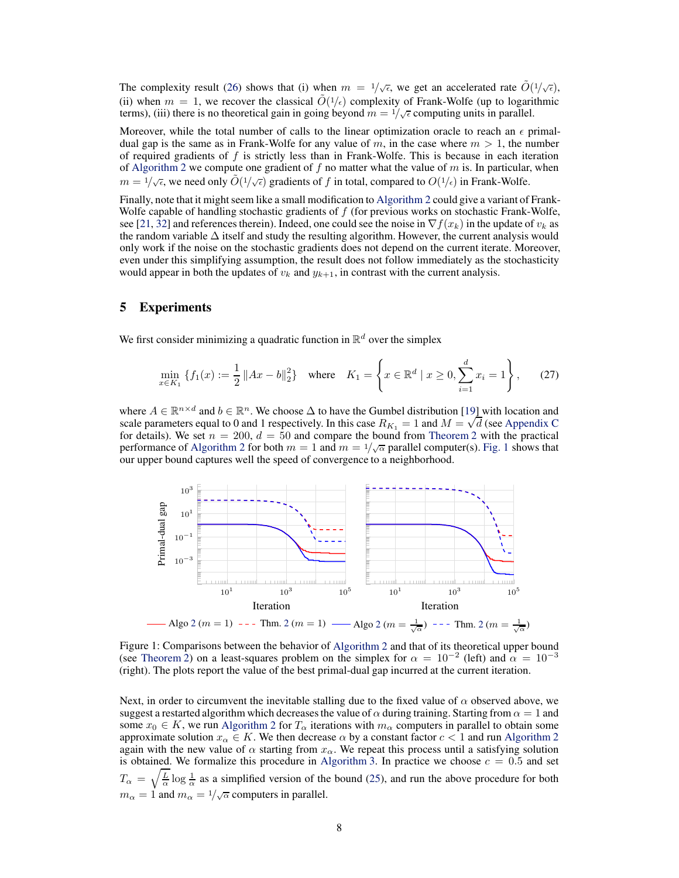The complexity result [\(26\)](#page-6-2) shows that (i) when  $m = 1/\sqrt{\epsilon}$ , we get an accelerated rate  $\tilde{O}(1/\sqrt{\epsilon})$ , (ii) when  $m = 1$ , we recover the classical  $\tilde{O}(1/\epsilon)$  complexity of Frank-Wolfe (up to logarithmic terms), (iii) there is no theoretical gain in going beyond  $m = 1/\sqrt{\epsilon}$  computing units in parallel.

Moreover, while the total number of calls to the linear optimization oracle to reach an  $\epsilon$  primaldual gap is the same as in Frank-Wolfe for any value of m, in the case where  $m > 1$ , the number of required gradients of  $f$  is strictly less than in Frank-Wolfe. This is because in each iteration of [Algorithm 2](#page-6-0) we compute one gradient of  $f$  no matter what the value of  $m$  is. In particular, when  $m = 1/\sqrt{\epsilon}$ , we need only  $\tilde{O}(1/\sqrt{\epsilon})$  gradients of f in total, compared to  $O(1/\epsilon)$  in Frank-Wolfe.

Finally, note that it might seem like a small modification to [Algorithm 2](#page-6-0) could give a variant of Frank-Wolfe capable of handling stochastic gradients of  $f$  (for previous works on stochastic Frank-Wolfe, see [\[21](#page-10-15), [32\]](#page-10-16) and references therein). Indeed, one could see the noise in  $\nabla f(x_k)$  in the update of  $v_k$  as the random variable  $\Delta$  itself and study the resulting algorithm. However, the current analysis would only work if the noise on the stochastic gradients does not depend on the current iterate. Moreover, even under this simplifying assumption, the result does not follow immediately as the stochasticity would appear in both the updates of  $v_k$  and  $y_{k+1}$ , in contrast with the current analysis.

## <span id="page-7-0"></span>5 Experiments

We first consider minimizing a quadratic function in  $\mathbb{R}^d$  over the simplex

<span id="page-7-2"></span>
$$
\min_{x \in K_1} \left\{ f_1(x) := \frac{1}{2} \left\| Ax - b \right\|_2^2 \right\} \quad \text{where} \quad K_1 = \left\{ x \in \mathbb{R}^d \mid x \ge 0, \sum_{i=1}^d x_i = 1 \right\},\tag{27}
$$

where  $A \in \mathbb{R}^{n \times d}$  and  $b \in \mathbb{R}^n$ . We choose  $\Delta$  to have the Gumbel distribution [\[19](#page-10-17)] with location and scale parameters equal to 0 and 1 respectively. In this case  $R_{K_1} = 1$  and  $M = \sqrt{d}$  (see [Appendix C](#page-21-0) for details). We set  $n = 200$ ,  $d = 50$  and compare the bound from [Theorem 2](#page-6-1) with the practical performance of [Algorithm 2](#page-6-0) for both  $m = 1$  and  $m = 1/\sqrt{\alpha}$  parallel computer(s). [Fig. 1](#page-7-1) shows that our upper bound captures well the speed of convergence to a neighborhood.

<span id="page-7-1"></span>

Figure 1: Comparisons between the behavior of [Algorithm 2](#page-6-0) and that of its theoretical upper bound (see [Theorem 2\)](#page-6-1) on a least-squares problem on the simplex for  $\alpha = 10^{-2}$  (left) and  $\alpha = 10^{-3}$ (right). The plots report the value of the best primal-dual gap incurred at the current iteration.

Next, in order to circumvent the inevitable stalling due to the fixed value of  $\alpha$  observed above, we suggest a restarted algorithm which decreases the value of  $\alpha$  during training. Starting from  $\alpha = 1$  and some  $x_0 \in K$ , we run [Algorithm 2](#page-6-0) for  $T_\alpha$  iterations with  $m_\alpha$  computers in parallel to obtain some approximate solution  $x_{\alpha} \in K$ . We then decrease  $\alpha$  by a constant factor  $c < 1$  and run [Algorithm 2](#page-6-0) again with the new value of  $\alpha$  starting from  $x_{\alpha}$ . We repeat this process until a satisfying solution is obtained. We formalize this procedure in [Algorithm 3.](#page-8-0) In practice we choose  $c = 0.5$  and set  $T_{\alpha} = \sqrt{\frac{L}{\alpha}} \log \frac{1}{\alpha}$  as a simplified version of the bound [\(25\)](#page-6-3), and run the above procedure for both  $m_{\alpha} = 1$  and  $m_{\alpha} = 1/\sqrt{\alpha}$  computers in parallel.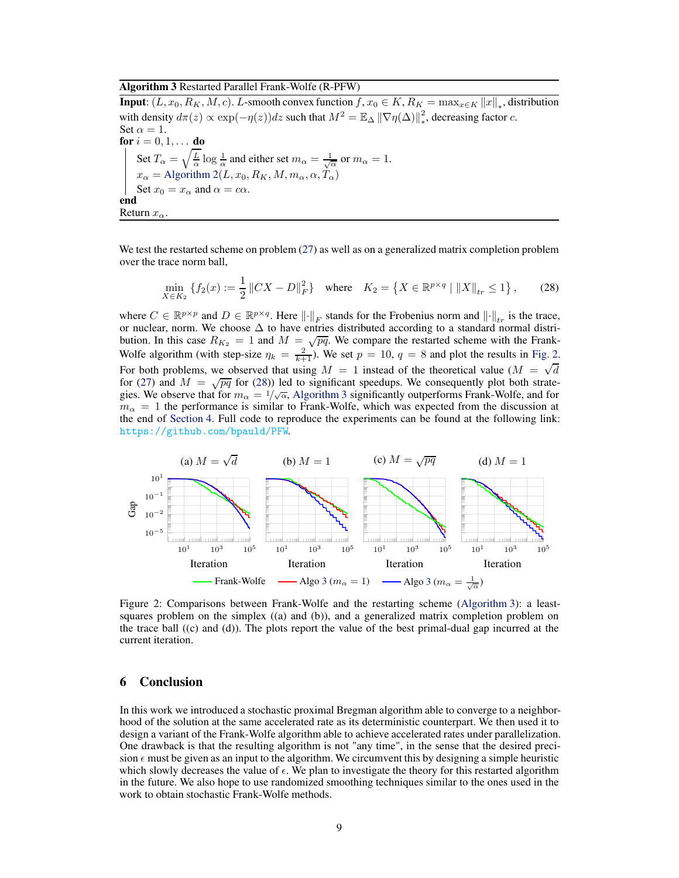<span id="page-8-0"></span>Algorithm 3 Restarted Parallel Frank-Wolfe (R-PFW)

**Input:**  $(L, x_0, R_K, M, c)$ . L-smooth convex function  $f, x_0 \in K$ ,  $R_K = \max_{x \in K} ||x||_*$ , distribution with density  $d\pi(z) \propto \exp(-\eta(z))dz$  such that  $M^2 = \mathbb{E}_{\Delta} ||\nabla \eta(\Delta)||_*^2$  $\frac{2}{*}$ , decreasing factor *c*. Set  $\alpha = 1$ . **for**  $i = 0, 1, ...$  **do** Set  $T_{\alpha} = \sqrt{\frac{L}{\alpha}} \log \frac{1}{\alpha}$  and either set  $m_{\alpha} = \frac{1}{\sqrt{\alpha}}$  or  $m_{\alpha} = 1$ .  $x_{\alpha}=\mbox{Algorithm 2}(L,x_0,R_K,M,m_{\alpha},\alpha,T_{\alpha})$  $x_{\alpha}=\mbox{Algorithm 2}(L,x_0,R_K,M,m_{\alpha},\alpha,T_{\alpha})$  $x_{\alpha}=\mbox{Algorithm 2}(L,x_0,R_K,M,m_{\alpha},\alpha,T_{\alpha})$ Set  $x_0 = x_\alpha$  and  $\alpha = c\alpha$ . end Return  $x_{\alpha}$ .

We test the restarted scheme on problem [\(27\)](#page-7-2) as well as on a generalized matrix completion problem over the trace norm ball,

<span id="page-8-2"></span>
$$
\min_{X \in K_2} \left\{ f_2(x) := \frac{1}{2} \|CX - D\|_F^2 \right\} \quad \text{where} \quad K_2 = \left\{ X \in \mathbb{R}^{p \times q} \mid \|X\|_{tr} \le 1 \right\},\tag{28}
$$

where  $C \in \mathbb{R}^{p \times p}$  and  $D \in \mathbb{R}^{p \times q}$ . Here  $\|\cdot\|_F$  stands for the Frobenius norm and  $\|\cdot\|_{tr}$  is the trace, or nuclear, norm. We choose ∆ to have entries distributed according to a standard normal distribution. In this case  $R_{K_2} = 1$  and  $M = \sqrt{pq}$ . We compare the restarted scheme with the Frank-Wolfe algorithm (with step-size  $\eta_k = \frac{2}{k+1}$ ). We set  $p = 10$ ,  $q = 8$  and plot the results in [Fig. 2.](#page-8-1) For both problems, we observed that using  $M = 1$  instead of the theoretical value  $(M = \sqrt{d})$ for [\(27\)](#page-7-2) and  $M = \sqrt{pq}$  for [\(28\)](#page-8-2)) led to significant speedups. We consequently plot both strategies. We observe that for  $m_{\alpha} = 1/\sqrt{\alpha}$ , [Algorithm 3](#page-8-0) significantly outperforms Frank-Wolfe, and for  $m_{\alpha} = 1$  the performance is similar to Frank-Wolfe, which was expected from the discussion at the end of [Section 4.](#page-5-0) Full code to reproduce the experiments can be found at the following link: <https://github.com/bpauld/PFW>.

<span id="page-8-1"></span>

Figure 2: Comparisons between Frank-Wolfe and the restarting scheme [\(Algorithm 3\)](#page-8-0): a leastsquares problem on the simplex  $((a)$  and  $(b)$ ), and a generalized matrix completion problem on the trace ball ((c) and (d)). The plots report the value of the best primal-dual gap incurred at the current iteration.

#### 6 Conclusion

In this work we introduced a stochastic proximal Bregman algorithm able to converge to a neighborhood of the solution at the same accelerated rate as its deterministic counterpart. We then used it to design a variant of the Frank-Wolfe algorithm able to achieve accelerated rates under parallelization. One drawback is that the resulting algorithm is not "any time", in the sense that the desired precision  $\epsilon$  must be given as an input to the algorithm. We circumvent this by designing a simple heuristic which slowly decreases the value of  $\epsilon$ . We plan to investigate the theory for this restarted algorithm in the future. We also hope to use randomized smoothing techniques similar to the ones used in the work to obtain stochastic Frank-Wolfe methods.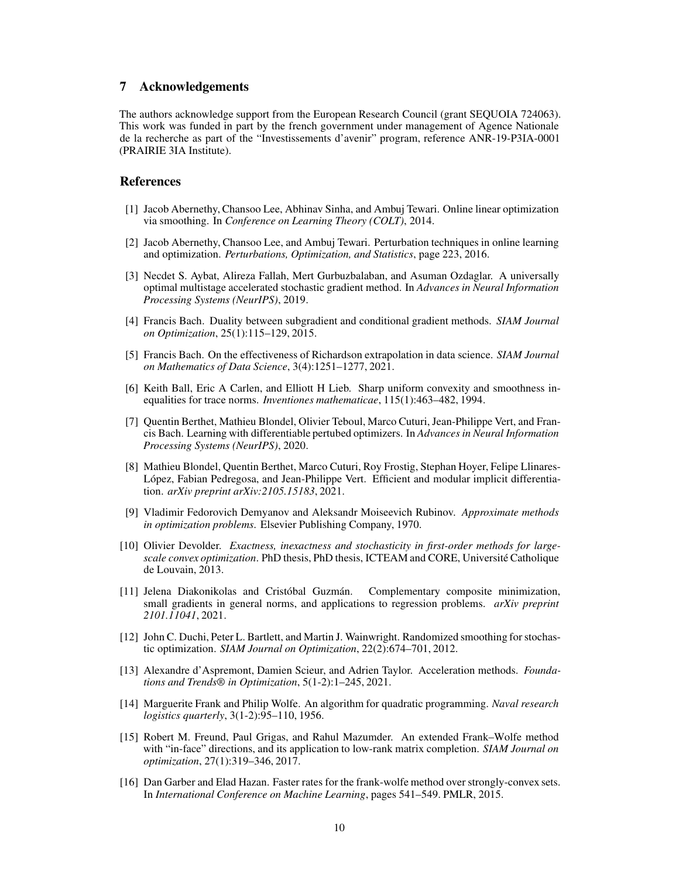## 7 Acknowledgements

The authors acknowledge support from the European Research Council (grant SEQUOIA 724063). This work was funded in part by the french government under management of Agence Nationale de la recherche as part of the "Investissements d'avenir" program, reference ANR-19-P3IA-0001 (PRAIRIE 3IA Institute).

## **References**

- <span id="page-9-6"></span>[1] Jacob Abernethy, Chansoo Lee, Abhinav Sinha, and Ambuj Tewari. Online linear optimization via smoothing. In *Conference on Learning Theory (COLT)*, 2014.
- <span id="page-9-7"></span>[2] Jacob Abernethy, Chansoo Lee, and Ambuj Tewari. Perturbation techniques in online learning and optimization. *Perturbations, Optimization, and Statistics*, page 223, 2016.
- <span id="page-9-1"></span>[3] Necdet S. Aybat, Alireza Fallah, Mert Gurbuzbalaban, and Asuman Ozdaglar. A universally optimal multistage accelerated stochastic gradient method. In *Advances in Neural Information Processing Systems (NeurIPS)*, 2019.
- <span id="page-9-4"></span>[4] Francis Bach. Duality between subgradient and conditional gradient methods. *SIAM Journal on Optimization*, 25(1):115–129, 2015.
- <span id="page-9-14"></span>[5] Francis Bach. On the effectiveness of Richardson extrapolation in data science. *SIAM Journal on Mathematics of Data Science*, 3(4):1251–1277, 2021.
- <span id="page-9-15"></span>[6] Keith Ball, Eric A Carlen, and Elliott H Lieb. Sharp uniform convexity and smoothness inequalities for trace norms. *Inventiones mathematicae*, 115(1):463–482, 1994.
- <span id="page-9-8"></span>[7] Quentin Berthet, Mathieu Blondel, Olivier Teboul, Marco Cuturi, Jean-Philippe Vert, and Francis Bach. Learning with differentiable pertubed optimizers. In *Advances in Neural Information Processing Systems (NeurIPS)*, 2020.
- <span id="page-9-9"></span>[8] Mathieu Blondel, Quentin Berthet, Marco Cuturi, Roy Frostig, Stephan Hoyer, Felipe Llinares-López, Fabian Pedregosa, and Jean-Philippe Vert. Efficient and modular implicit differentiation. *arXiv preprint arXiv:2105.15183*, 2021.
- <span id="page-9-12"></span>[9] Vladimir Fedorovich Demyanov and Aleksandr Moiseevich Rubinov. *Approximate methods in optimization problems*. Elsevier Publishing Company, 1970.
- <span id="page-9-3"></span>[10] Olivier Devolder. *Exactness, inexactness and stochasticity in first-order methods for largescale convex optimization*. PhD thesis, PhD thesis, ICTEAM and CORE, Université Catholique de Louvain, 2013.
- <span id="page-9-0"></span>[11] Jelena Diakonikolas and Cristóbal Guzmán. Complementary composite minimization, small gradients in general norms, and applications to regression problems. *arXiv preprint 2101.11041*, 2021.
- <span id="page-9-5"></span>[12] John C. Duchi, Peter L. Bartlett, and Martin J. Wainwright. Randomized smoothing for stochastic optimization. *SIAM Journal on Optimization*, 22(2):674–701, 2012.
- <span id="page-9-2"></span>[13] Alexandre d'Aspremont, Damien Scieur, and Adrien Taylor. Acceleration methods. *Foundations and Trends® in Optimization*, 5(1-2):1–245, 2021.
- <span id="page-9-10"></span>[14] Marguerite Frank and Philip Wolfe. An algorithm for quadratic programming. *Naval research logistics quarterly*, 3(1-2):95–110, 1956.
- <span id="page-9-11"></span>[15] Robert M. Freund, Paul Grigas, and Rahul Mazumder. An extended Frank–Wolfe method with "in-face" directions, and its application to low-rank matrix completion. *SIAM Journal on optimization*, 27(1):319–346, 2017.
- <span id="page-9-13"></span>[16] Dan Garber and Elad Hazan. Faster rates for the frank-wolfe method over strongly-convex sets. In *International Conference on Machine Learning*, pages 541–549. PMLR, 2015.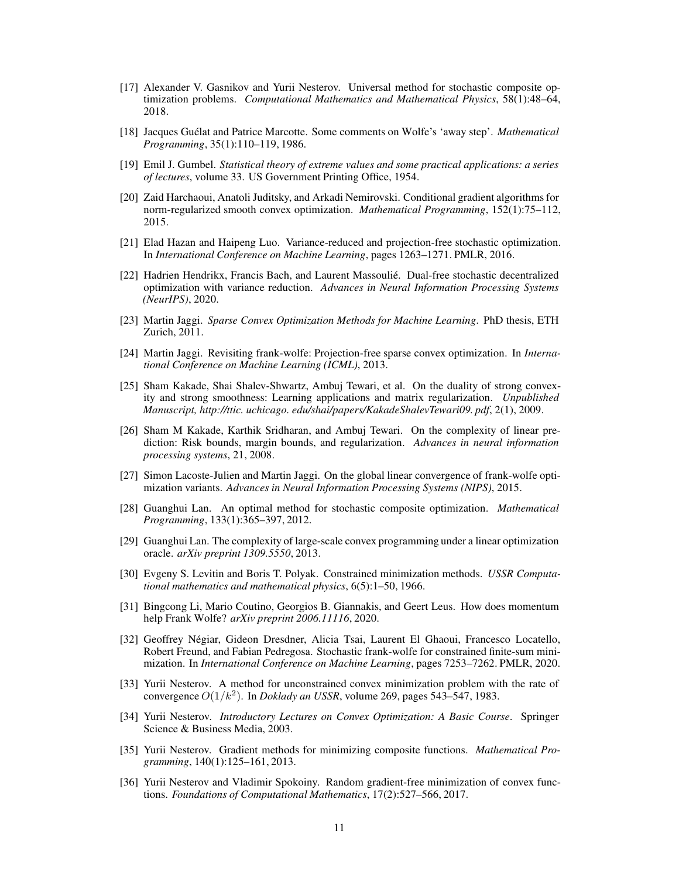- <span id="page-10-0"></span>[17] Alexander V. Gasnikov and Yurii Nesterov. Universal method for stochastic composite optimization problems. *Computational Mathematics and Mathematical Physics*, 58(1):48–64, 2018.
- <span id="page-10-11"></span>[18] Jacques Guélat and Patrice Marcotte. Some comments on Wolfe's 'away step'. *Mathematical Programming*, 35(1):110–119, 1986.
- <span id="page-10-17"></span>[19] Emil J. Gumbel. *Statistical theory of extreme values and some practical applications: a series of lectures*, volume 33. US Government Printing Office, 1954.
- <span id="page-10-8"></span>[20] Zaid Harchaoui, Anatoli Juditsky, and Arkadi Nemirovski. Conditional gradient algorithms for norm-regularized smooth convex optimization. *Mathematical Programming*, 152(1):75–112, 2015.
- <span id="page-10-15"></span>[21] Elad Hazan and Haipeng Luo. Variance-reduced and projection-free stochastic optimization. In *International Conference on Machine Learning*, pages 1263–1271. PMLR, 2016.
- <span id="page-10-14"></span>[22] Hadrien Hendrikx, Francis Bach, and Laurent Massoulié. Dual-free stochastic decentralized optimization with variance reduction. *Advances in Neural Information Processing Systems (NeurIPS)*, 2020.
- <span id="page-10-7"></span>[23] Martin Jaggi. *Sparse Convex Optimization Methods for Machine Learning*. PhD thesis, ETH Zurich, 2011.
- <span id="page-10-6"></span>[24] Martin Jaggi. Revisiting frank-wolfe: Projection-free sparse convex optimization. In *International Conference on Machine Learning (ICML)*, 2013.
- <span id="page-10-18"></span>[25] Sham Kakade, Shai Shalev-Shwartz, Ambuj Tewari, et al. On the duality of strong convexity and strong smoothness: Learning applications and matrix regularization. *Unpublished Manuscript, http://ttic. uchicago. edu/shai/papers/KakadeShalevTewari09. pdf*, 2(1), 2009.
- <span id="page-10-19"></span>[26] Sham M Kakade, Karthik Sridharan, and Ambuj Tewari. On the complexity of linear prediction: Risk bounds, margin bounds, and regularization. *Advances in neural information processing systems*, 21, 2008.
- <span id="page-10-12"></span>[27] Simon Lacoste-Julien and Martin Jaggi. On the global linear convergence of frank-wolfe optimization variants. *Advances in Neural Information Processing Systems (NIPS)*, 2015.
- <span id="page-10-3"></span>[28] Guanghui Lan. An optimal method for stochastic composite optimization. *Mathematical Programming*, 133(1):365–397, 2012.
- <span id="page-10-9"></span>[29] Guanghui Lan. The complexity of large-scale convex programming under a linear optimization oracle. *arXiv preprint 1309.5550*, 2013.
- <span id="page-10-10"></span>[30] Evgeny S. Levitin and Boris T. Polyak. Constrained minimization methods. *USSR Computational mathematics and mathematical physics*, 6(5):1–50, 1966.
- <span id="page-10-13"></span>[31] Bingcong Li, Mario Coutino, Georgios B. Giannakis, and Geert Leus. How does momentum help Frank Wolfe? *arXiv preprint 2006.11116*, 2020.
- <span id="page-10-16"></span>[32] Geoffrey Négiar, Gideon Dresdner, Alicia Tsai, Laurent El Ghaoui, Francesco Locatello, Robert Freund, and Fabian Pedregosa. Stochastic frank-wolfe for constrained finite-sum minimization. In *International Conference on Machine Learning*, pages 7253–7262. PMLR, 2020.
- <span id="page-10-1"></span>[33] Yurii Nesterov. A method for unconstrained convex minimization problem with the rate of convergence  $O(1/k^2)$ . In *Doklady an USSR*, volume 269, pages 543–547, 1983.
- <span id="page-10-4"></span>[34] Yurii Nesterov. *Introductory Lectures on Convex Optimization: A Basic Course*. Springer Science & Business Media, 2003.
- <span id="page-10-2"></span>[35] Yurii Nesterov. Gradient methods for minimizing composite functions. *Mathematical Programming*, 140(1):125–161, 2013.
- <span id="page-10-5"></span>[36] Yurii Nesterov and Vladimir Spokoiny. Random gradient-free minimization of convex functions. *Foundations of Computational Mathematics*, 17(2):527–566, 2017.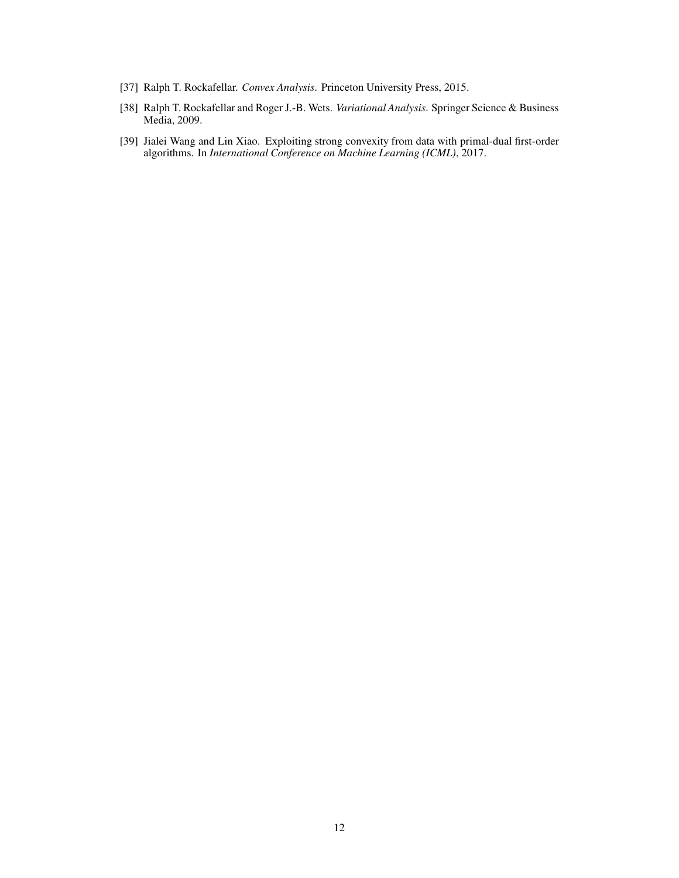- <span id="page-11-0"></span>[37] Ralph T. Rockafellar. *Convex Analysis*. Princeton University Press, 2015.
- <span id="page-11-1"></span>[38] Ralph T. Rockafellar and Roger J.-B. Wets. *Variational Analysis*. Springer Science & Business Media, 2009.
- <span id="page-11-2"></span>[39] Jialei Wang and Lin Xiao. Exploiting strong convexity from data with primal-dual first-order algorithms. In *International Conference on Machine Learning (ICML)*, 2017.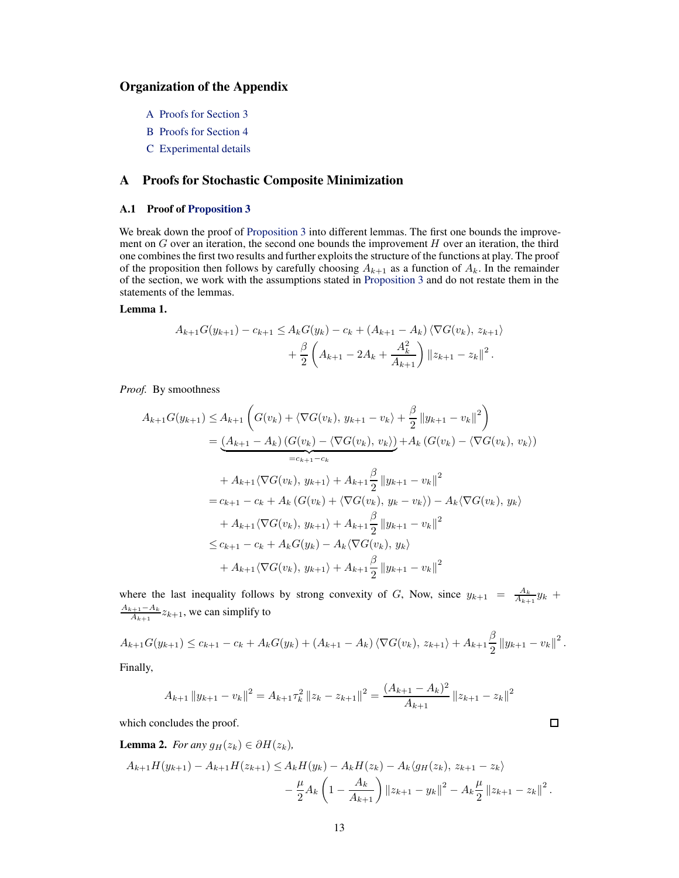# Organization of the Appendix

- [A](#page-12-0) Proofs for [Section 3](#page-3-0)
- [B](#page-16-0) Proofs for [Section 4](#page-5-0)
- [C Experimental details](#page-21-0)

## <span id="page-12-0"></span>A Proofs for Stochastic Composite Minimization

#### A.1 Proof of [Proposition 3](#page-4-4)

We break down the proof of [Proposition 3](#page-4-4) into different lemmas. The first one bounds the improvement on  $G$  over an iteration, the second one bounds the improvement  $H$  over an iteration, the third one combines the first two results and further exploits the structure of the functions at play. The proof of the proposition then follows by carefully choosing  $A_{k+1}$  as a function of  $A_k$ . In the remainder of the section, we work with the assumptions stated in [Proposition 3](#page-4-4) and do not restate them in the statements of the lemmas.

### Lemma 1.

$$
A_{k+1}G(y_{k+1}) - c_{k+1} \le A_k G(y_k) - c_k + (A_{k+1} - A_k) \langle \nabla G(v_k), z_{k+1} \rangle
$$
  
+ 
$$
\frac{\beta}{2} \left( A_{k+1} - 2A_k + \frac{A_k^2}{A_{k+1}} \right) ||z_{k+1} - z_k||^2.
$$

*Proof.* By smoothness

$$
A_{k+1}G(y_{k+1}) \leq A_{k+1} \left( G(v_k) + \langle \nabla G(v_k), y_{k+1} - v_k \rangle + \frac{\beta}{2} ||y_{k+1} - v_k||^2 \right)
$$
  
\n
$$
= \underbrace{(A_{k+1} - A_k) (G(v_k) - \langle \nabla G(v_k), v_k \rangle)}_{=c_{k+1} - c_k} + A_{k+1} \langle \nabla G(v_k), y_{k+1} \rangle + A_{k+1} \frac{\beta}{2} ||y_{k+1} - v_k||^2
$$
  
\n
$$
= c_{k+1} - c_k + A_k (G(v_k) + \langle \nabla G(v_k), y_k - v_k \rangle) - A_k \langle \nabla G(v_k), y_k \rangle
$$
  
\n
$$
+ A_{k+1} \langle \nabla G(v_k), y_{k+1} \rangle + A_{k+1} \frac{\beta}{2} ||y_{k+1} - v_k||^2
$$
  
\n
$$
\leq c_{k+1} - c_k + A_k G(y_k) - A_k \langle \nabla G(v_k), y_k \rangle
$$
  
\n
$$
+ A_{k+1} \langle \nabla G(v_k), y_{k+1} \rangle + A_{k+1} \frac{\beta}{2} ||y_{k+1} - v_k||^2
$$

where the last inequality follows by strong convexity of G, Now, since  $y_{k+1} = \frac{A_k}{A_{k+1}} y_k +$  $\frac{A_{k+1}-A_k}{A_{k+1}}z_{k+1}$ , we can simplify to

$$
A_{k+1}G(y_{k+1}) \leq c_{k+1} - c_k + A_k G(y_k) + (A_{k+1} - A_k) \langle \nabla G(v_k), z_{k+1} \rangle + A_{k+1} \frac{\beta}{2} ||y_{k+1} - v_k||^2.
$$

Finally,

$$
A_{k+1} \|y_{k+1} - v_k\|^2 = A_{k+1} \tau_k^2 \|z_k - z_{k+1}\|^2 = \frac{(A_{k+1} - A_k)^2}{A_{k+1}} \|z_{k+1} - z_k\|^2
$$

 $\Box$ 

which concludes the proof.

**Lemma 2.** *For any*  $q_H(z_k) \in \partial H(z_k)$ ,

$$
A_{k+1}H(y_{k+1}) - A_{k+1}H(z_{k+1}) \le A_k H(y_k) - A_k H(z_k) - A_k \langle g_H(z_k), z_{k+1} - z_k \rangle
$$
  

$$
- \frac{\mu}{2} A_k \left( 1 - \frac{A_k}{A_{k+1}} \right) ||z_{k+1} - y_k||^2 - A_k \frac{\mu}{2} ||z_{k+1} - z_k||^2.
$$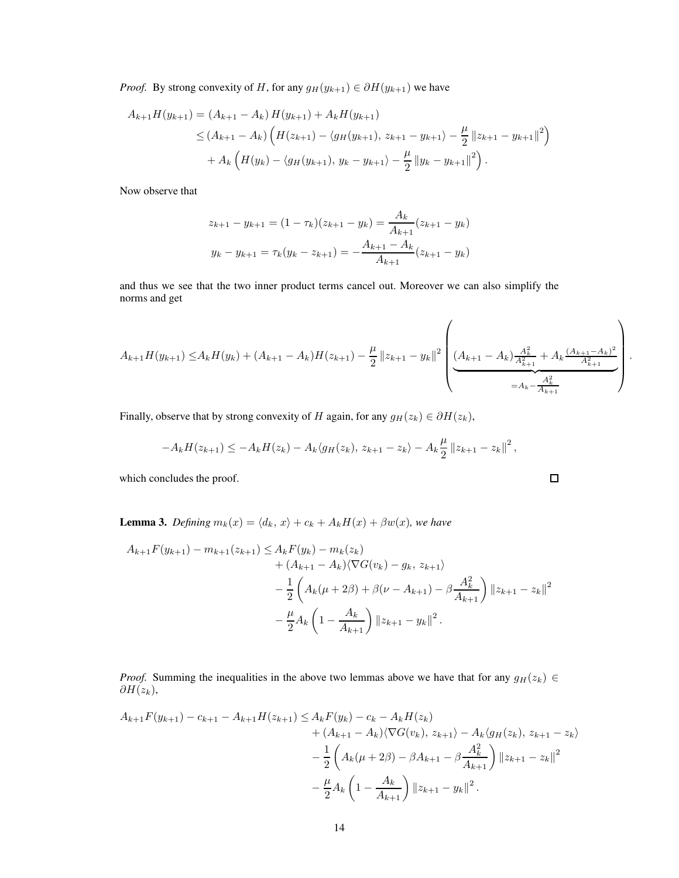*Proof.* By strong convexity of H, for any  $g_H(y_{k+1}) \in \partial H(y_{k+1})$  we have

$$
A_{k+1}H(y_{k+1}) = (A_{k+1} - A_k) H(y_{k+1}) + A_k H(y_{k+1})
$$
  
\n
$$
\leq (A_{k+1} - A_k) \left( H(z_{k+1}) - \langle g_H(y_{k+1}), z_{k+1} - y_{k+1} \rangle - \frac{\mu}{2} ||z_{k+1} - y_{k+1}||^2 \right)
$$
  
\n
$$
+ A_k \left( H(y_k) - \langle g_H(y_{k+1}), y_k - y_{k+1} \rangle - \frac{\mu}{2} ||y_k - y_{k+1}||^2 \right).
$$

Now observe that

$$
z_{k+1} - y_{k+1} = (1 - \tau_k)(z_{k+1} - y_k) = \frac{A_k}{A_{k+1}}(z_{k+1} - y_k)
$$
  

$$
y_k - y_{k+1} = \tau_k(y_k - z_{k+1}) = -\frac{A_{k+1} - A_k}{A_{k+1}}(z_{k+1} - y_k)
$$

and thus we see that the two inner product terms cancel out. Moreover we can also simplify the norms and get

$$
A_{k+1}H(y_{k+1}) \leq A_k H(y_k) + (A_{k+1} - A_k)H(z_{k+1}) - \frac{\mu}{2} ||z_{k+1} - y_k||^2 \left( \underbrace{(A_{k+1} - A_k) \frac{A_k^2}{A_{k+1}^2} + A_k \frac{(A_{k+1} - A_k)^2}{A_{k+1}^2}}_{=A_k - \frac{A_k^2}{A_{k+1}^2}} \right).
$$

 $\Box$ 

Finally, observe that by strong convexity of H again, for any  $g_H(z_k) \in \partial H(z_k)$ ,

$$
-A_k H(z_{k+1}) \leq -A_k H(z_k) - A_k \langle g_H(z_k), z_{k+1} - z_k \rangle - A_k \frac{\mu}{2} ||z_{k+1} - z_k||^2,
$$

which concludes the proof.

**Lemma 3.** *Defining*  $m_k(x) = \langle d_k, x \rangle + c_k + A_k H(x) + \beta w(x)$ *, we have* 

$$
A_{k+1}F(y_{k+1}) - m_{k+1}(z_{k+1}) \le A_k F(y_k) - m_k(z_k)
$$
  
+  $(A_{k+1} - A_k)\langle \nabla G(v_k) - g_k, z_{k+1}\rangle$   
-  $\frac{1}{2}\left(A_k(\mu + 2\beta) + \beta(\nu - A_{k+1}) - \beta \frac{A_k^2}{A_{k+1}}\right) ||z_{k+1} - z_k||^2$   
-  $\frac{\mu}{2}A_k\left(1 - \frac{A_k}{A_{k+1}}\right) ||z_{k+1} - y_k||^2$ .

*Proof.* Summing the inequalities in the above two lemmas above we have that for any  $g_H(z_k) \in$  $\partial H(z_k),$ 

$$
A_{k+1}F(y_{k+1}) - c_{k+1} - A_{k+1}H(z_{k+1}) \le A_k F(y_k) - c_k - A_k H(z_k)
$$
  
+  $(A_{k+1} - A_k)\langle \nabla G(v_k), z_{k+1}\rangle - A_k \langle g_H(z_k), z_{k+1} - z_k \rangle$   
-  $\frac{1}{2} \left( A_k(\mu + 2\beta) - \beta A_{k+1} - \beta \frac{A_k^2}{A_{k+1}} \right) ||z_{k+1} - z_k||^2$   
-  $\frac{\mu}{2} A_k \left( 1 - \frac{A_k}{A_{k+1}} \right) ||z_{k+1} - y_k||^2$ .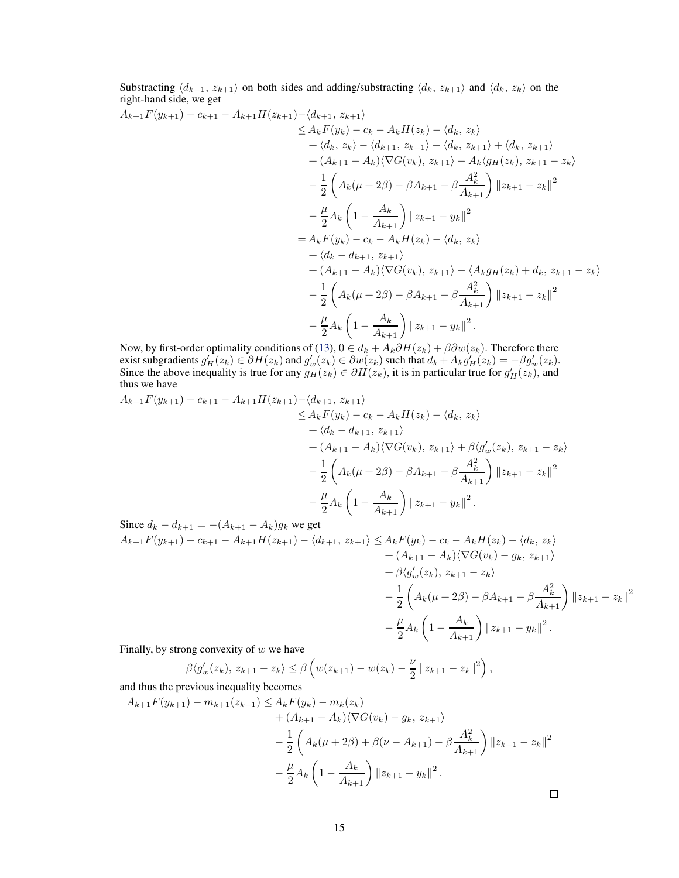Substracting  $\langle d_{k+1}, z_{k+1} \rangle$  on both sides and adding/substracting  $\langle d_k, z_{k+1} \rangle$  and  $\langle d_k, z_k \rangle$  on the right-hand side, we get

$$
A_{k+1}F(y_{k+1}) - c_{k+1} - A_{k+1}H(z_{k+1}) - \langle d_{k+1}, z_{k+1} \rangle
$$
  
\n
$$
\leq A_k F(y_k) - c_k - A_k H(z_k) - \langle d_k, z_k \rangle
$$
  
\n
$$
+ \langle d_k, z_k \rangle - \langle d_{k+1}, z_{k+1} \rangle - \langle d_k, z_{k+1} \rangle + \langle d_k, z_{k+1} \rangle
$$
  
\n
$$
+ (A_{k+1} - A_k) \langle \nabla G(v_k), z_{k+1} \rangle - A_k \langle g_H(z_k), z_{k+1} - z_k \rangle
$$
  
\n
$$
- \frac{1}{2} \left( A_k (\mu + 2\beta) - \beta A_{k+1} - \beta \frac{A_k^2}{A_{k+1}} \right) ||z_{k+1} - z_k||^2
$$
  
\n
$$
- \frac{\mu}{2} A_k \left( 1 - \frac{A_k}{A_{k+1}} \right) ||z_{k+1} - y_k||^2
$$
  
\n
$$
= A_k F(y_k) - c_k - A_k H(z_k) - \langle d_k, z_k \rangle
$$
  
\n
$$
+ \langle d_k - d_{k+1}, z_{k+1} \rangle
$$
  
\n
$$
+ (A_{k+1} - A_k) \langle \nabla G(v_k), z_{k+1} \rangle - \langle A_k g_H(z_k) + d_k, z_{k+1} - z_k \rangle
$$
  
\n
$$
- \frac{1}{2} \left( A_k (\mu + 2\beta) - \beta A_{k+1} - \beta \frac{A_k^2}{A_{k+1}} \right) ||z_{k+1} - z_k||^2
$$
  
\n
$$
- \frac{\mu}{2} A_k \left( 1 - \frac{A_k}{A_{k+1}} \right) ||z_{k+1} - y_k||^2.
$$

Now, by first-order optimality conditions of [\(13\)](#page-4-1),  $0 \in d_k + A_k \partial H(z_k) + \beta \partial w(z_k)$ . Therefore there exist subgradients  $g'_H(z_k) \in \partial H(z_k)$  and  $g'_w(z_k) \in \partial w(z_k)$  such that  $d_k + A_k g'_H(z_k) = -\beta g'_w(z_k)$ . Since the above inequality is true for any  $g_H(z_k) \in \partial H(z_k)$ , it is in particular true for  $g'_H(z_k)$ , and thus we have

$$
A_{k+1}F(y_{k+1}) - c_{k+1} - A_{k+1}H(z_{k+1}) - \langle d_{k+1}, z_{k+1} \rangle
$$
  
\n
$$
\leq A_k F(y_k) - c_k - A_k H(z_k) - \langle d_k, z_k \rangle
$$
  
\n
$$
+ \langle d_k - d_{k+1}, z_{k+1} \rangle
$$
  
\n
$$
+ (A_{k+1} - A_k) \langle \nabla G(v_k), z_{k+1} \rangle + \beta \langle g'_w(z_k), z_{k+1} - z_k \rangle
$$
  
\n
$$
- \frac{1}{2} \left( A_k (\mu + 2\beta) - \beta A_{k+1} - \beta \frac{A_k^2}{A_{k+1}} \right) ||z_{k+1} - z_k||^2
$$
  
\n
$$
- \frac{\mu}{2} A_k \left( 1 - \frac{A_k}{A_{k+1}} \right) ||z_{k+1} - y_k||^2.
$$
  
\nSince  $d_k - d_{k+1} = -(A_{k+1} - A_k)a_k$  we get

Since 
$$
d_k - d_{k+1} = -(A_{k+1} - A_k)g_k
$$
 we get  
\n
$$
A_{k+1}F(y_{k+1}) - c_{k+1} - A_{k+1}H(z_{k+1}) - \langle d_{k+1}, z_{k+1} \rangle \le A_k F(y_k) - c_k - A_k H(z_k) - \langle d_k, z_k \rangle
$$
\n
$$
+ (A_{k+1} - A_k)\langle \nabla G(v_k) - g_k, z_{k+1} \rangle
$$
\n
$$
+ \beta \langle g'_w(z_k), z_{k+1} - z_k \rangle
$$
\n
$$
- \frac{1}{2} \left( A_k(\mu + 2\beta) - \beta A_{k+1} - \beta \frac{A_k^2}{A_{k+1}} \right) ||z_{k+1} - z_k||^2
$$
\n
$$
- \frac{\mu}{2} A_k \left( 1 - \frac{A_k}{A_{k+1}} \right) ||z_{k+1} - y_k||^2.
$$

Finally, by strong convexity of  $w$  we have

$$
\beta \langle g'_{w}(z_{k}), z_{k+1} - z_{k} \rangle \leq \beta \left( w(z_{k+1}) - w(z_{k}) - \frac{\nu}{2} ||z_{k+1} - z_{k}||^{2} \right),
$$

and thus the previous inequality becomes

$$
A_{k+1}F(y_{k+1}) - m_{k+1}(z_{k+1}) \le A_k F(y_k) - m_k(z_k)
$$
  
+  $(A_{k+1} - A_k)\langle \nabla G(v_k) - g_k, z_{k+1}\rangle$   
-  $\frac{1}{2}\left(A_k(\mu + 2\beta) + \beta(\nu - A_{k+1}) - \beta \frac{A_k^2}{A_{k+1}}\right) ||z_{k+1} - z_k||^2$   
-  $\frac{\mu}{2}A_k\left(1 - \frac{A_k}{A_{k+1}}\right) ||z_{k+1} - y_k||^2$ .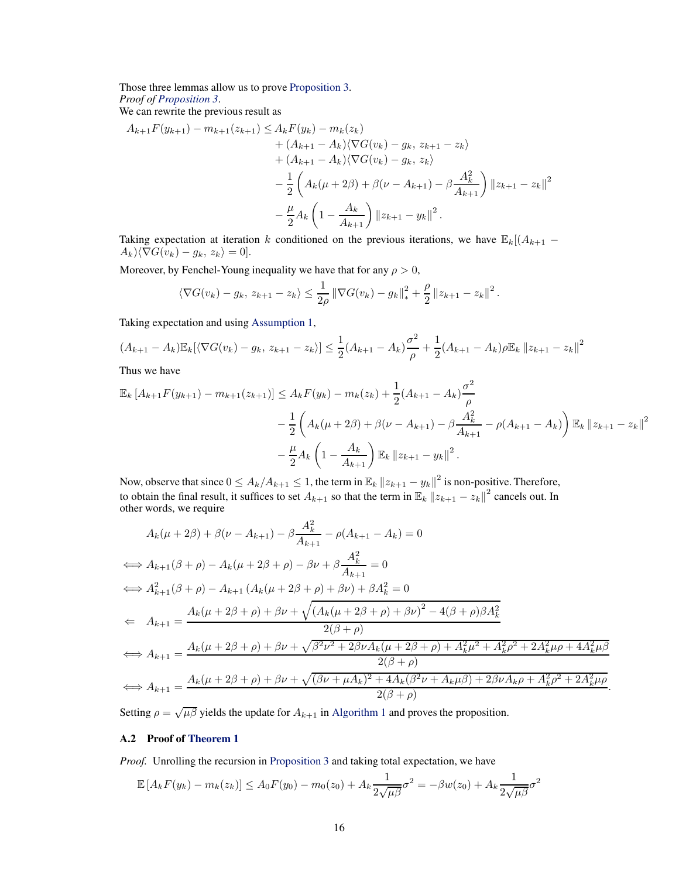Those three lemmas allow us to prove [Proposition 3.](#page-4-4) *Proof of [Proposition 3](#page-4-4)*.

We can rewrite the previous result as

$$
A_{k+1}F(y_{k+1}) - m_{k+1}(z_{k+1}) \le A_k F(y_k) - m_k(z_k)
$$
  
+  $(A_{k+1} - A_k)\langle \nabla G(v_k) - g_k, z_{k+1} - z_k \rangle$   
+  $(A_{k+1} - A_k)\langle \nabla G(v_k) - g_k, z_k \rangle$   
-  $\frac{1}{2} \left( A_k(\mu + 2\beta) + \beta(\nu - A_{k+1}) - \beta \frac{A_k^2}{A_{k+1}} \right) ||z_{k+1} - z_k||^2$   
-  $\frac{\mu}{2} A_k \left( 1 - \frac{A_k}{A_{k+1}} \right) ||z_{k+1} - y_k||^2$ .

Taking expectation at iteration k conditioned on the previous iterations, we have  $\mathbb{E}_k[(A_{k+1} A_k\setminus \langle \nabla G(v_k) - g_k, z_k \rangle = 0$ .

Moreover, by Fenchel-Young inequality we have that for any  $\rho > 0$ ,

$$
\langle \nabla G(v_k) - g_k, z_{k+1} - z_k \rangle \leq \frac{1}{2\rho} \left\| \nabla G(v_k) - g_k \right\|_{*}^{2} + \frac{\rho}{2} \left\| z_{k+1} - z_k \right\|^{2}.
$$

Taking expectation and using [Assumption 1,](#page-3-1)

$$
(A_{k+1} - A_k) \mathbb{E}_k[\langle \nabla G(v_k) - g_k, z_{k+1} - z_k \rangle] \le \frac{1}{2} (A_{k+1} - A_k) \frac{\sigma^2}{\rho} + \frac{1}{2} (A_{k+1} - A_k) \rho \mathbb{E}_k ||z_{k+1} - z_k||^2
$$

Thus we have

$$
\mathbb{E}_{k}\left[A_{k+1}F(y_{k+1})-m_{k+1}(z_{k+1})\right] \leq A_{k}F(y_{k})-m_{k}(z_{k})+\frac{1}{2}(A_{k+1}-A_{k})\frac{\sigma^{2}}{\rho}
$$

$$
-\frac{1}{2}\left(A_{k}(\mu+2\beta)+\beta(\nu-A_{k+1})-\beta\frac{A_{k}^{2}}{A_{k+1}}-\rho(A_{k+1}-A_{k})\right)\mathbb{E}_{k}\left\|z_{k+1}-z_{k}\right\|^{2}
$$

$$
-\frac{\mu}{2}A_{k}\left(1-\frac{A_{k}}{A_{k+1}}\right)\mathbb{E}_{k}\left\|z_{k+1}-y_{k}\right\|^{2}.
$$

Now, observe that since  $0 \leq A_k/A_{k+1} \leq 1$ , the term in  $\mathbb{E}_k ||z_{k+1} - y_k||^2$  is non-positive. Therefore, to obtain the final result, it suffices to set  $A_{k+1}$  so that the term in  $\mathbb{E}_k ||z_{k+1} - z_k||^2$  cancels out. In other words, we require

$$
A_{k}(\mu + 2\beta) + \beta(\nu - A_{k+1}) - \beta \frac{A_{k}^{2}}{A_{k+1}} - \rho(A_{k+1} - A_{k}) = 0
$$
  
\n
$$
\iff A_{k+1}(\beta + \rho) - A_{k}(\mu + 2\beta + \rho) - \beta \nu + \beta \frac{A_{k}^{2}}{A_{k+1}} = 0
$$
  
\n
$$
\iff A_{k+1}^{2}(\beta + \rho) - A_{k+1}(A_{k}(\mu + 2\beta + \rho) + \beta \nu) + \beta A_{k}^{2} = 0
$$
  
\n
$$
\iff A_{k+1} = \frac{A_{k}(\mu + 2\beta + \rho) + \beta \nu + \sqrt{(A_{k}(\mu + 2\beta + \rho) + \beta \nu)^{2} - 4(\beta + \rho)\beta A_{k}^{2}}}{2(\beta + \rho)}
$$
  
\n
$$
\iff A_{k+1} = \frac{A_{k}(\mu + 2\beta + \rho) + \beta \nu + \sqrt{\beta^{2}\nu^{2} + 2\beta\nu A_{k}(\mu + 2\beta + \rho) + A_{k}^{2}\mu^{2} + A_{k}^{2}\rho^{2} + 2A_{k}^{2}\mu\rho + 4A_{k}^{2}\mu\beta}}{2(\beta + \rho)}
$$
  
\n
$$
\iff A_{k+1} = \frac{A_{k}(\mu + 2\beta + \rho) + \beta \nu + \sqrt{(\beta\nu + \mu A_{k})^{2} + 4A_{k}(\beta^{2}\nu + A_{k}\mu\beta) + 2\beta\nu A_{k}\rho + A_{k}^{2}\rho^{2} + 2A_{k}^{2}\mu\rho}}{2(\beta + \rho)}.
$$

Setting  $\rho = \sqrt{\mu \beta}$  yields the update for  $A_{k+1}$  in [Algorithm 1](#page-4-0) and proves the proposition.

## A.2 Proof of [Theorem 1](#page-4-5)

*Proof.* Unrolling the recursion in [Proposition 3](#page-4-4) and taking total expectation, we have

$$
\mathbb{E}\left[A_k F(y_k) - m_k(z_k)\right] \le A_0 F(y_0) - m_0(z_0) + A_k \frac{1}{2\sqrt{\mu\beta}} \sigma^2 = -\beta w(z_0) + A_k \frac{1}{2\sqrt{\mu\beta}} \sigma^2
$$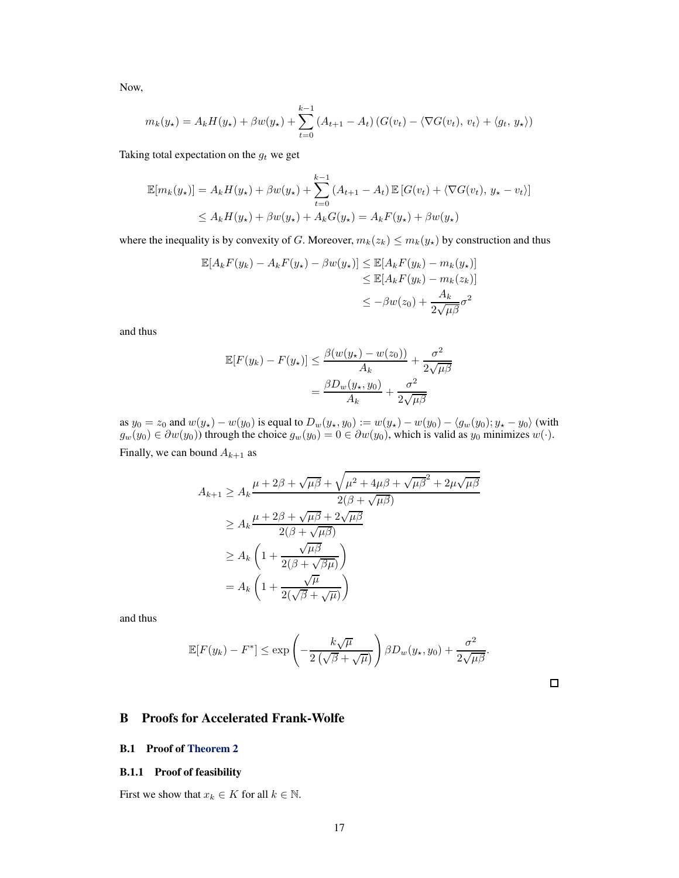Now,

$$
m_k(y_\star) = A_k H(y_\star) + \beta w(y_\star) + \sum_{t=0}^{k-1} (A_{t+1} - A_t) (G(v_t) - \langle \nabla G(v_t), v_t \rangle + \langle g_t, y_\star \rangle)
$$

Taking total expectation on the  $g_t$  we get

$$
\mathbb{E}[m_k(y_\star)] = A_k H(y_\star) + \beta w(y_\star) + \sum_{t=0}^{k-1} (A_{t+1} - A_t) \mathbb{E}[G(v_t) + \langle \nabla G(v_t), y_\star - v_t \rangle]
$$
  

$$
\leq A_k H(y_\star) + \beta w(y_\star) + A_k G(y_\star) = A_k F(y_\star) + \beta w(y_\star)
$$

where the inequality is by convexity of G. Moreover,  $m_k(z_k) \le m_k(y_\star)$  by construction and thus

$$
\mathbb{E}[A_k F(y_k) - A_k F(y_\star) - \beta w(y_\star)] \leq \mathbb{E}[A_k F(y_k) - m_k(y_\star)]
$$
  
\n
$$
\leq \mathbb{E}[A_k F(y_k) - m_k(z_k)]
$$
  
\n
$$
\leq -\beta w(z_0) + \frac{A_k}{2\sqrt{\mu \beta}} \sigma^2
$$

and thus

$$
\mathbb{E}[F(y_k) - F(y_\star)] \le \frac{\beta(w(y_\star) - w(z_0))}{A_k} + \frac{\sigma^2}{2\sqrt{\mu\beta}}
$$

$$
= \frac{\beta D_w(y_\star, y_0)}{A_k} + \frac{\sigma^2}{2\sqrt{\mu\beta}}
$$

as  $y_0 = z_0$  and  $w(y_\star) - w(y_0)$  is equal to  $D_w(y_\star, y_0) := w(y_\star) - w(y_0) - \langle g_w(y_0), y_\star - y_0 \rangle$  (with  $g_w(y_0) \in \partial w(y_0)$ ) through the choice  $g_w(y_0) = 0 \in \partial w(y_0)$ , which is valid as  $y_0$  minimizes  $w(\cdot)$ . Finally, we can bound  $A_{k+1}$  as

$$
A_{k+1} \ge A_k \frac{\mu + 2\beta + \sqrt{\mu\beta} + \sqrt{\mu^2 + 4\mu\beta + \sqrt{\mu\beta}^2 + 2\mu\sqrt{\mu\beta}}}{2(\beta + \sqrt{\mu\beta})}
$$
  
\n
$$
\ge A_k \frac{\mu + 2\beta + \sqrt{\mu\beta} + 2\sqrt{\mu\beta}}{2(\beta + \sqrt{\mu\beta})}
$$
  
\n
$$
\ge A_k \left(1 + \frac{\sqrt{\mu\beta}}{2(\beta + \sqrt{\beta\mu})}\right)
$$
  
\n
$$
= A_k \left(1 + \frac{\sqrt{\mu}}{2(\sqrt{\beta} + \sqrt{\mu})}\right)
$$

and thus

$$
\mathbb{E}[F(y_k) - F^*] \le \exp\left(-\frac{k\sqrt{\mu}}{2\left(\sqrt{\beta} + \sqrt{\mu}\right)}\right) \beta D_w(y_k, y_0) + \frac{\sigma^2}{2\sqrt{\mu\beta}}.
$$

 $\Box$ 

## <span id="page-16-0"></span>B Proofs for Accelerated Frank-Wolfe

#### B.1 Proof of [Theorem 2](#page-6-1)

#### B.1.1 Proof of feasibility

First we show that  $x_k \in K$  for all  $k \in \mathbb{N}$ .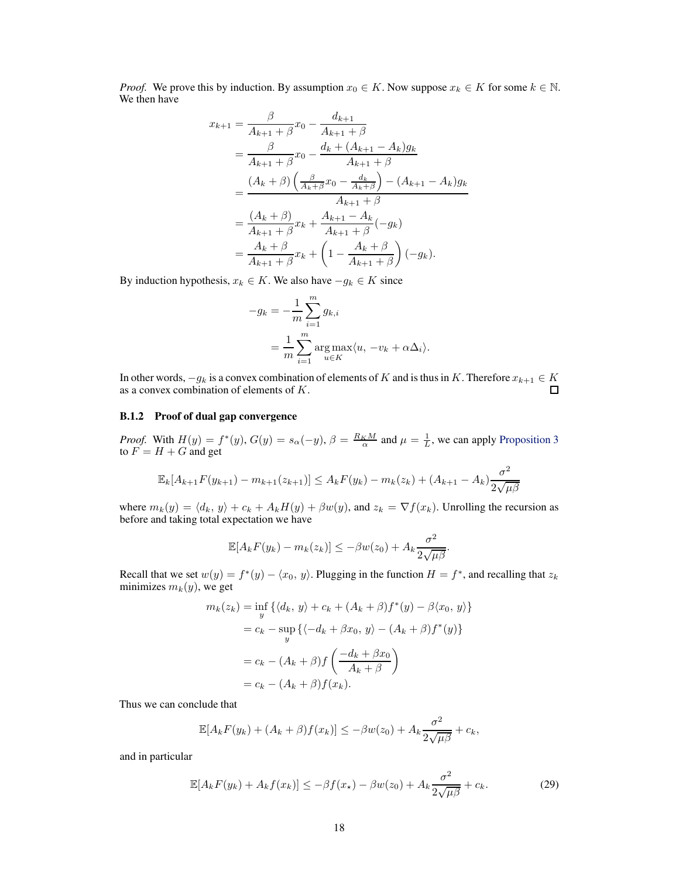*Proof.* We prove this by induction. By assumption  $x_0 \in K$ . Now suppose  $x_k \in K$  for some  $k \in \mathbb{N}$ . We then have

$$
x_{k+1} = \frac{\beta}{A_{k+1} + \beta} x_0 - \frac{d_{k+1}}{A_{k+1} + \beta}
$$
  
= 
$$
\frac{\beta}{A_{k+1} + \beta} x_0 - \frac{d_k + (A_{k+1} - A_k)g_k}{A_{k+1} + \beta}
$$
  
= 
$$
\frac{(A_k + \beta) \left(\frac{\beta}{A_k + \beta} x_0 - \frac{d_k}{A_k + \beta}\right) - (A_{k+1} - A_k)g_k}{A_{k+1} + \beta}
$$
  
= 
$$
\frac{(A_k + \beta)}{A_{k+1} + \beta} x_k + \frac{A_{k+1} - A_k}{A_{k+1} + \beta} (-g_k)
$$
  
= 
$$
\frac{A_k + \beta}{A_{k+1} + \beta} x_k + \left(1 - \frac{A_k + \beta}{A_{k+1} + \beta}\right) (-g_k).
$$

By induction hypothesis,  $x_k \in K$ . We also have  $-g_k \in K$  since

$$
-g_k = -\frac{1}{m} \sum_{i=1}^m g_{k,i}
$$
  
= 
$$
\frac{1}{m} \sum_{i=1}^m \arg \max_{u \in K} \langle u, -v_k + \alpha \Delta_i \rangle.
$$

In other words,  $-g_k$  is a convex combination of elements of K and is thus in K. Therefore  $x_{k+1} \in K$  as a convex combination of elements of K.

#### B.1.2 Proof of dual gap convergence

*Proof.* With  $H(y) = f^*(y)$ ,  $G(y) = s_\alpha(-y)$ ,  $\beta = \frac{R_K M}{\alpha}$  and  $\mu = \frac{1}{L}$ , we can apply [Proposition 3](#page-4-4) to  $F = H + G$  and get

$$
\mathbb{E}_k[A_{k+1}F(y_{k+1}) - m_{k+1}(z_{k+1})] \le A_kF(y_k) - m_k(z_k) + (A_{k+1} - A_k)\frac{\sigma^2}{2\sqrt{\mu\beta}}
$$

where  $m_k(y) = \langle d_k, y \rangle + c_k + A_kH(y) + \beta w(y)$ , and  $z_k = \nabla f(x_k)$ . Unrolling the recursion as before and taking total expectation we have

$$
\mathbb{E}[A_k F(y_k) - m_k(z_k)] \leq -\beta w(z_0) + A_k \frac{\sigma^2}{2\sqrt{\mu\beta}}.
$$

Recall that we set  $w(y) = f^*(y) - \langle x_0, y \rangle$ . Plugging in the function  $H = f^*$ , and recalling that  $z_k$ minimizes  $m_k(y)$ , we get

$$
m_k(z_k) = \inf_y \left\{ \langle d_k, y \rangle + c_k + (A_k + \beta) f^*(y) - \beta \langle x_0, y \rangle \right\}
$$
  

$$
= c_k - \sup_y \left\{ \langle -d_k + \beta x_0, y \rangle - (A_k + \beta) f^*(y) \right\}
$$
  

$$
= c_k - (A_k + \beta) f \left( \frac{-d_k + \beta x_0}{A_k + \beta} \right)
$$
  

$$
= c_k - (A_k + \beta) f(x_k).
$$

Thus we can conclude that

$$
\mathbb{E}[A_k F(y_k) + (A_k + \beta)f(x_k)] \leq -\beta w(z_0) + A_k \frac{\sigma^2}{2\sqrt{\mu\beta}} + c_k,
$$

and in particular

<span id="page-17-0"></span>
$$
\mathbb{E}[A_k F(y_k) + A_k f(x_k)] \le -\beta f(x_\star) - \beta w(z_0) + A_k \frac{\sigma^2}{2\sqrt{\mu\beta}} + c_k. \tag{29}
$$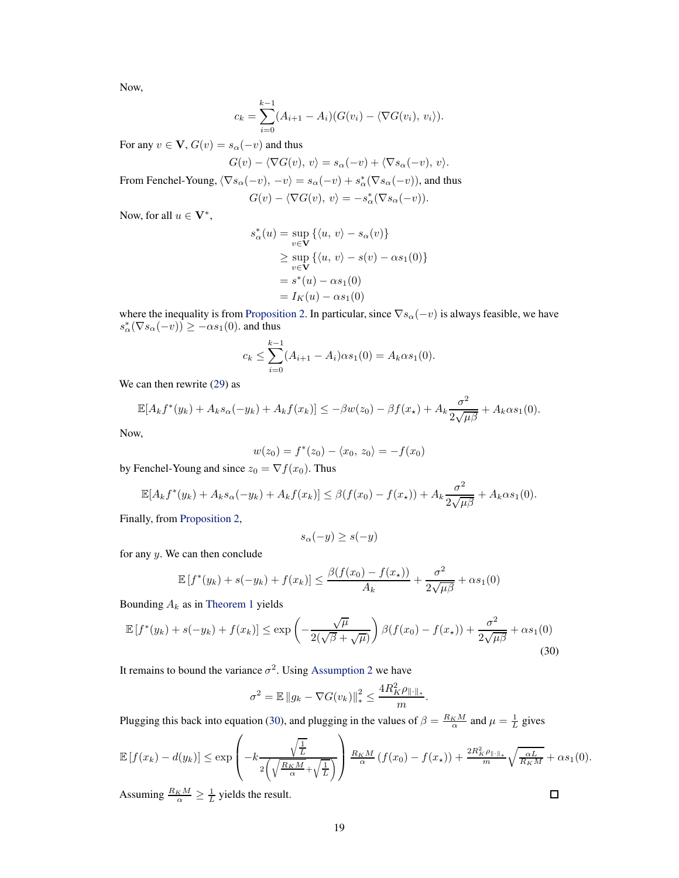Now,

$$
c_k = \sum_{i=0}^{k-1} (A_{i+1} - A_i)(G(v_i) - \langle \nabla G(v_i), v_i \rangle).
$$

For any  $v \in V$ ,  $G(v) = s_\alpha(-v)$  and thus

$$
G(v) - \langle \nabla G(v), v \rangle = s_{\alpha}(-v) + \langle \nabla s_{\alpha}(-v), v \rangle.
$$

From Fenchel-Young,  $\langle \nabla s_{\alpha}(-v), -v \rangle = s_{\alpha}(-v) + s_{\alpha}^*(\nabla s_{\alpha}(-v))$ , and thus

$$
G(v) - \langle \nabla G(v), v \rangle = -s_{\alpha}^*(\nabla s_{\alpha}(-v)).
$$

Now, for all  $u \in V^*$ ,

$$
s_{\alpha}^{*}(u) = \sup_{v \in \mathbf{V}} \left\{ \langle u, v \rangle - s_{\alpha}(v) \right\}
$$
  
\n
$$
\geq \sup_{v \in \mathbf{V}} \left\{ \langle u, v \rangle - s(v) - \alpha s_{1}(0) \right\}
$$
  
\n
$$
= s^{*}(u) - \alpha s_{1}(0)
$$
  
\n
$$
= I_{K}(u) - \alpha s_{1}(0)
$$

where the inequality is from [Proposition 2.](#page-3-3) In particular, since  $\nabla s_{\alpha}(-v)$  is always feasible, we have  $s_{\alpha}^*(\nabla s_{\alpha}(-v)) \ge -\alpha s_1(0)$ . and thus

$$
c_k \leq \sum_{i=0}^{k-1} (A_{i+1} - A_i)\alpha s_1(0) = A_k \alpha s_1(0).
$$

We can then rewrite [\(29\)](#page-17-0) as

$$
\mathbb{E}[A_k f^*(y_k) + A_k s_\alpha(-y_k) + A_k f(x_k)] \leq -\beta w(z_0) - \beta f(x_\star) + A_k \frac{\sigma^2}{2\sqrt{\mu\beta}} + A_k \alpha s_1(0).
$$

Now,

$$
w(z_0) = f^*(z_0) - \langle x_0, z_0 \rangle = -f(x_0)
$$

by Fenchel-Young and since  $z_0 = \nabla f(x_0)$ . Thus

$$
\mathbb{E}[A_k f^*(y_k) + A_k s_\alpha(-y_k) + A_k f(x_k)] \leq \beta(f(x_0) - f(x_\star)) + A_k \frac{\sigma^2}{2\sqrt{\mu\beta}} + A_k \alpha s_1(0).
$$

Finally, from [Proposition 2,](#page-3-3)

$$
s_{\alpha}(-y) \ge s(-y)
$$

for any  $y$ . We can then conclude

$$
\mathbb{E}[f^*(y_k) + s(-y_k) + f(x_k)] \le \frac{\beta(f(x_0) - f(x_k))}{A_k} + \frac{\sigma^2}{2\sqrt{\mu\beta}} + \alpha s_1(0)
$$

Bounding  $A_k$  as in [Theorem 1](#page-4-5) yields

$$
\mathbb{E}\left[f^*(y_k) + s(-y_k) + f(x_k)\right] \le \exp\left(-\frac{\sqrt{\mu}}{2(\sqrt{\beta} + \sqrt{\mu})}\right)\beta(f(x_0) - f(x_\star)) + \frac{\sigma^2}{2\sqrt{\mu\beta}} + \alpha s_1(0)\tag{30}
$$

It remains to bound the variance  $\sigma^2$ . Using [Assumption 2](#page-5-3) we have

$$
\sigma^{2} = \mathbb{E} \|g_{k} - \nabla G(v_{k})\|_{*}^{2} \leq \frac{4R_{K}^{2}\rho_{\|\cdot\|_{*}}}{m}.
$$

Plugging this back into equation [\(30\)](#page-18-0), and plugging in the values of  $\beta = \frac{R_K M}{\alpha}$  and  $\mu = \frac{1}{L}$  gives

$$
\mathbb{E}\left[f(x_k) - d(y_k)\right] \le \exp\left(-k\frac{\sqrt{\frac{1}{L}}}{2\left(\sqrt{\frac{R_K M}{\alpha}} + \sqrt{\frac{1}{L}}\right)}\right) \frac{R_K M}{\alpha} \left(f(x_0) - f(x_\star)\right) + \frac{2R_K^2 \rho_{\|\cdot\|_\ast}}{m} \sqrt{\frac{\alpha L}{R_K M}} + \alpha s_1(0).
$$

Assuming  $\frac{R_K M}{\alpha} \ge \frac{1}{L}$  yields the result.

<span id="page-18-0"></span> $\Box$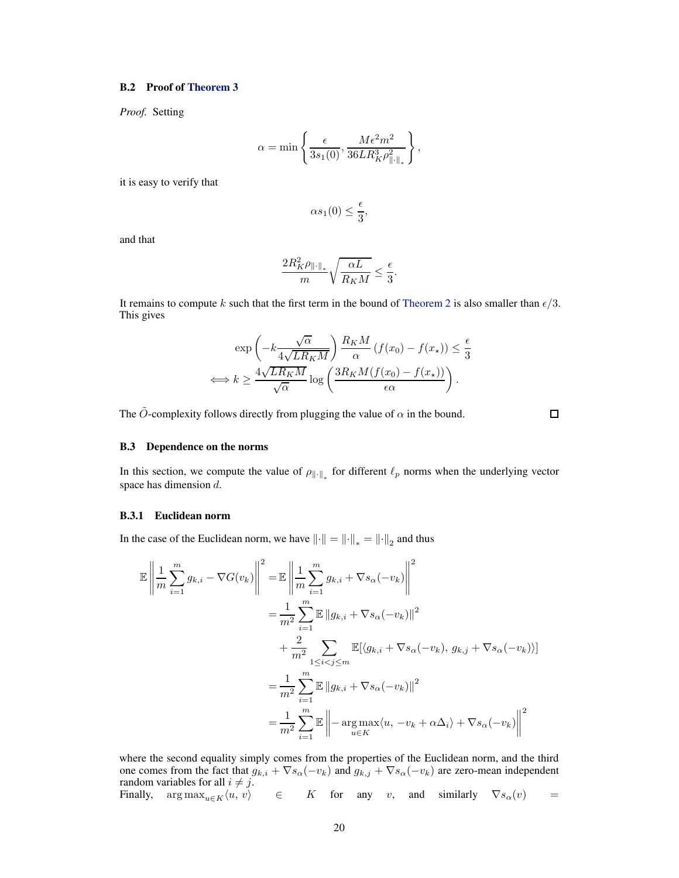#### B.2 Proof of [Theorem 3](#page-6-4)

*Proof.* Setting

$$
\alpha = \min \left\{ \frac{\epsilon}{3s_1(0)}, \frac{M\epsilon^2 m^2}{36LR_K^3 \rho_{\|\cdot\|_*}^2} \right\},\,
$$

it is easy to verify that

$$
\alpha s_1(0) \leq \frac{\epsilon}{3},
$$

and that

$$
\frac{2R_K^2\rho_{\|\cdot\|_*}}{m}\sqrt{\frac{\alpha L}{R_K M}}\leq \frac{\epsilon}{3}.
$$

It remains to compute k such that the first term in the bound of [Theorem 2](#page-6-1) is also smaller than  $\epsilon/3$ . This gives

$$
\exp\left(-k\frac{\sqrt{\alpha}}{4\sqrt{LR_KM}}\right)\frac{R_KM}{\alpha}\left(f(x_0) - f(x_\star)\right) \le \frac{\epsilon}{3}
$$

$$
\iff k \ge \frac{4\sqrt{LR_KM}}{\sqrt{\alpha}}\log\left(\frac{3R_KM(f(x_0) - f(x_\star))}{\epsilon\alpha}\right).
$$

The  $\tilde{O}$ -complexity follows directly from plugging the value of  $\alpha$  in the bound.

 $\Box$ 

#### <span id="page-19-0"></span>B.3 Dependence on the norms

<span id="page-19-1"></span>In this section, we compute the value of  $\rho_{\|\cdot\|_*}$  for different  $\ell_p$  norms when the underlying vector space has dimension d.

#### B.3.1 Euclidean norm

In the case of the Euclidean norm, we have  $\left\| \cdot \right\| = \left\| \cdot \right\|_{*} = \left\| \cdot \right\|_{2}$  and thus

$$
\mathbb{E}\left\|\frac{1}{m}\sum_{i=1}^{m}g_{k,i}-\nabla G(v_k)\right\|^2 = \mathbb{E}\left\|\frac{1}{m}\sum_{i=1}^{m}g_{k,i}+\nabla s_{\alpha}(-v_k)\right\|^2
$$

$$
=\frac{1}{m^2}\sum_{i=1}^{m}\mathbb{E}\left\|g_{k,i}+\nabla s_{\alpha}(-v_k)\right\|^2
$$

$$
+\frac{2}{m^2}\sum_{1\leq i
$$
=\frac{1}{m^2}\sum_{i=1}^{m}\mathbb{E}\left\|g_{k,i}+\nabla s_{\alpha}(-v_k)\right\|^2
$$

$$
=\frac{1}{m^2}\sum_{i=1}^{m}\mathbb{E}\left\|-\arg\max_{u\in K}\langle u, -v_k+\alpha\Delta_i\rangle+\nabla s_{\alpha}(-v_k)\right\|^2
$$
$$

where the second equality simply comes from the properties of the Euclidean norm, and the third one comes from the fact that  $g_{k,i} + \nabla s_{\alpha}(-v_k)$  and  $g_{k,j} + \nabla s_{\alpha}(-v_k)$  are zero-mean independent random variables for all  $i \neq j$ .<br>Finally,  $\arg \max_{u \in K} \langle u, v \rangle$  $\in$  K for any v, and similarly  $\nabla s_\alpha(v)$  =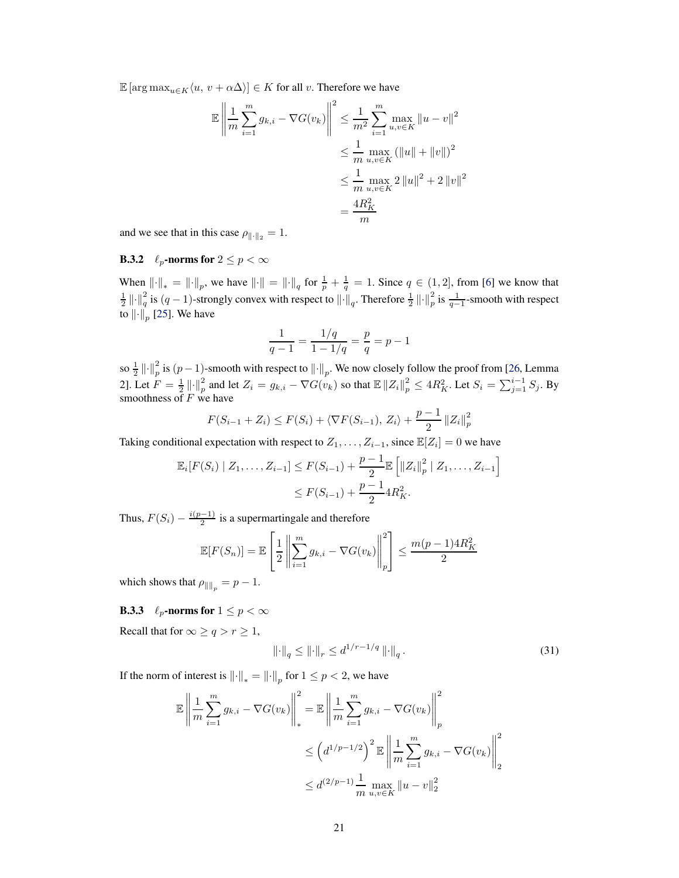$\mathbb{E}[\arg \max_{u \in K} \langle u, v + \alpha \Delta \rangle] \in K$  for all v. Therefore we have

$$
\mathbb{E} \left\| \frac{1}{m} \sum_{i=1}^{m} g_{k,i} - \nabla G(v_k) \right\|^2 \leq \frac{1}{m^2} \sum_{i=1}^{m} \max_{u,v \in K} \|u - v\|^2
$$
  

$$
\leq \frac{1}{m} \max_{u,v \in K} (\|u\| + \|v\|)^2
$$
  

$$
\leq \frac{1}{m} \max_{u,v \in K} 2 \|u\|^2 + 2 \|v\|^2
$$
  

$$
= \frac{4R_K^2}{m}
$$

<span id="page-20-1"></span>and we see that in this case  $\rho_{\|\cdot\|_2} = 1$ .

# **B.3.2**  $\ell_p$ -norms for  $2 \le p < \infty$

When  $\|\cdot\|_* = \|\cdot\|_p$ , we have  $\|\cdot\| = \|\cdot\|_q$  for  $\frac{1}{p} + \frac{1}{q} = 1$ . Since  $q \in (1, 2]$ , from [\[6](#page-9-15)] we know that  $\frac{1}{2} \left\| \cdot \right\|_q^2$  is  $(q-1)$ -strongly convex with respect to  $\left\| \cdot \right\|_q$ . Therefore  $\frac{1}{2} \left\| \cdot \right\|_p^2$  is  $\frac{1}{q-1}$ -smooth with respect to  $\left\Vert \cdot \right\Vert_p$  [\[25\]](#page-10-18). We have

$$
\frac{1}{q-1} = \frac{1/q}{1-1/q} = \frac{p}{q} = p-1
$$

so  $\frac{1}{2} \| \cdot \|_p^2$  is  $(p-1)$ -smooth with respect to  $\| \cdot \|_p$ . We now closely follow the proof from [\[26,](#page-10-19) Lemma 2]. Let  $F = \frac{1}{2} ||\cdot||_p^2$  and let  $Z_i = g_{k,i} - \nabla G(v_k)$  so that  $\mathbb{E} ||Z_i||_p^2 \le 4R_K^2$ . Let  $S_i = \sum_{j=1}^{i-1} S_j$ . By smoothness of  $F$  we have

$$
F(S_{i-1} + Z_i) \le F(S_i) + \langle \nabla F(S_{i-1}), Z_i \rangle + \frac{p-1}{2} ||Z_i||_p^2
$$

Taking conditional expectation with respect to  $Z_1, \ldots, Z_{i-1}$ , since  $\mathbb{E}[Z_i] = 0$  we have

$$
\mathbb{E}_{i}[F(S_{i}) \mid Z_{1}, \ldots, Z_{i-1}] \leq F(S_{i-1}) + \frac{p-1}{2} \mathbb{E}\left[\left\|Z_{i}\right\|_{p}^{2} \mid Z_{1}, \ldots, Z_{i-1}\right]
$$
  

$$
\leq F(S_{i-1}) + \frac{p-1}{2} 4R_{K}^{2}.
$$

Thus,  $F(S_i) - \frac{i(p-1)}{2}$  is a supermartingale and therefore

$$
\mathbb{E}[F(S_n)] = \mathbb{E}\left[\frac{1}{2}\left\|\sum_{i=1}^m g_{k,i} - \nabla G(v_k)\right\|_p^2\right] \le \frac{m(p-1)4R_K^2}{2}
$$

which shows that  $\rho_{\|\|_p} = p - 1$ .

# **B.3.3**  $\ell_p$ -norms for  $1 \leq p < \infty$

Recall that for  $\infty \ge q > r \ge 1$ ,

<span id="page-20-0"></span>
$$
\|\cdot\|_q \le \|\cdot\|_r \le d^{1/r - 1/q} \|\cdot\|_q. \tag{31}
$$

If the norm of interest is  $\left\|\cdot\right\|_* = \left\|\cdot\right\|_p$  for  $1 \le p < 2$ , we have

$$
\mathbb{E}\left\|\frac{1}{m}\sum_{i=1}^{m}g_{k,i} - \nabla G(v_k)\right\|_{*}^{2} = \mathbb{E}\left\|\frac{1}{m}\sum_{i=1}^{m}g_{k,i} - \nabla G(v_k)\right\|_{p}^{2}
$$
  

$$
\leq \left(d^{1/p-1/2}\right)^{2}\mathbb{E}\left\|\frac{1}{m}\sum_{i=1}^{m}g_{k,i} - \nabla G(v_k)\right\|_{2}^{2}
$$
  

$$
\leq d^{(2/p-1)}\frac{1}{m}\max_{u,v\in K}\|u-v\|_{2}^{2}
$$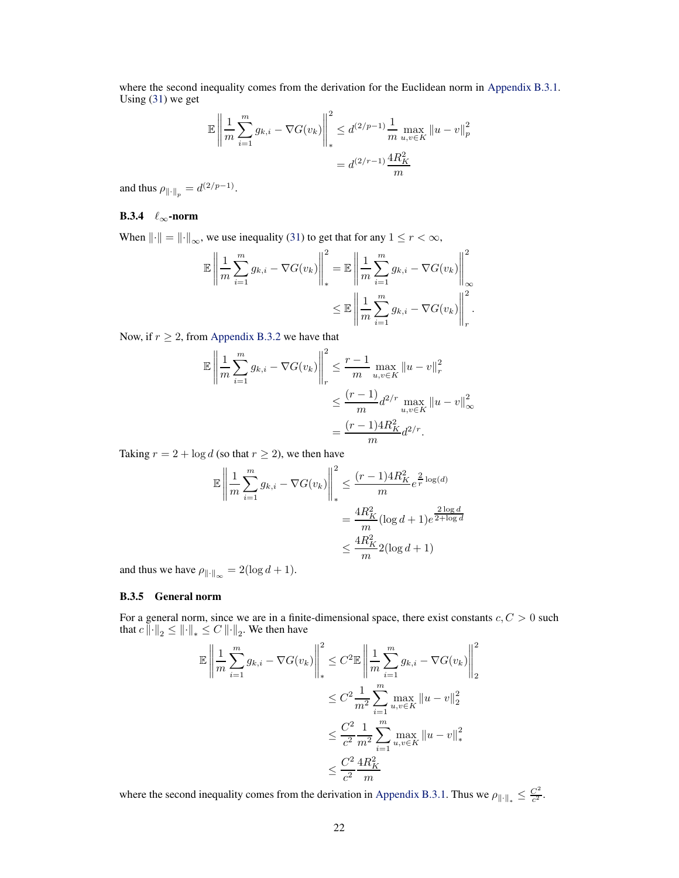where the second inequality comes from the derivation for the Euclidean norm in [Appendix B.3.1.](#page-19-1) Using  $(31)$  we get

$$
\mathbb{E}\left\|\frac{1}{m}\sum_{i=1}^{m}g_{k,i} - \nabla G(v_k)\right\|_{*}^{2} \leq d^{(2/p-1)}\frac{1}{m}\max_{u,v\in K} \|u-v\|_{p}^{2}
$$

$$
= d^{(2/r-1)}\frac{4R_{K}^{2}}{m}
$$

and thus  $\rho_{\|\cdot\|_p} = d^{(2/p-1)}$ .

## B.3.4  $\ell_{\infty}$ -norm

When  $\|\cdot\| = \|\cdot\|_{\infty}$ , we use inequality [\(31\)](#page-20-0) to get that for any  $1 \le r < \infty$ ,

$$
\mathbb{E}\left\|\frac{1}{m}\sum_{i=1}^{m}g_{k,i}-\nabla G(v_k)\right\|_{*}^{2}=\mathbb{E}\left\|\frac{1}{m}\sum_{i=1}^{m}g_{k,i}-\nabla G(v_k)\right\|_{\infty}^{2}
$$

$$
\leq \mathbb{E}\left\|\frac{1}{m}\sum_{i=1}^{m}g_{k,i}-\nabla G(v_k)\right\|_{r}^{2}.
$$

Now, if  $r \geq 2$ , from [Appendix B.3.2](#page-20-1) we have that

$$
\mathbb{E} \left\| \frac{1}{m} \sum_{i=1}^{m} g_{k,i} - \nabla G(v_k) \right\|_{r}^{2} \leq \frac{r-1}{m} \max_{u,v \in K} \|u - v\|_{r}^{2}
$$

$$
\leq \frac{(r-1)}{m} d^{2/r} \max_{u,v \in K} \|u - v\|_{\infty}^{2}
$$

$$
= \frac{(r-1)4R_{K}^{2}}{m} d^{2/r}.
$$

Taking  $r = 2 + \log d$  (so that  $r \ge 2$ ), we then have

$$
\mathbb{E} \left\| \frac{1}{m} \sum_{i=1}^{m} g_{k,i} - \nabla G(v_k) \right\|_{*}^{2} \le \frac{(r-1)4R_K^2}{m} e^{\frac{2}{r} \log(d)} \n= \frac{4R_K^2}{m} (\log d + 1) e^{\frac{2 \log d}{2 + \log d}} \n\le \frac{4R_K^2}{m} 2(\log d + 1)
$$

and thus we have  $\rho_{\|\cdot\|_{\infty}} = 2(\log d + 1).$ 

#### B.3.5 General norm

For a general norm, since we are in a finite-dimensional space, there exist constants  $c, C > 0$  such that  $c \left\| \cdot \right\|_2 \leq \left\| \cdot \right\|_* \leq C \left\| \cdot \right\|_2$ . We then have

$$
\mathbb{E} \left\| \frac{1}{m} \sum_{i=1}^{m} g_{k,i} - \nabla G(v_k) \right\|_{*}^{2} \leq C^{2} \mathbb{E} \left\| \frac{1}{m} \sum_{i=1}^{m} g_{k,i} - \nabla G(v_k) \right\|_{2}^{2}
$$
  

$$
\leq C^{2} \frac{1}{m^{2}} \sum_{i=1}^{m} \max_{u,v \in K} ||u - v||_{2}^{2}
$$
  

$$
\leq \frac{C^{2}}{c^{2}} \frac{1}{m^{2}} \sum_{i=1}^{m} \max_{u,v \in K} ||u - v||_{*}^{2}
$$
  

$$
\leq \frac{C^{2}}{c^{2}} \frac{4R_{K}^{2}}{m}
$$

<span id="page-21-0"></span>where the second inequality comes from the derivation in [Appendix B.3.1.](#page-19-1) Thus we  $\rho_{\|\cdot\|_*} \leq \frac{C^2}{c^2}$  $\frac{C^2}{c^2}$ .